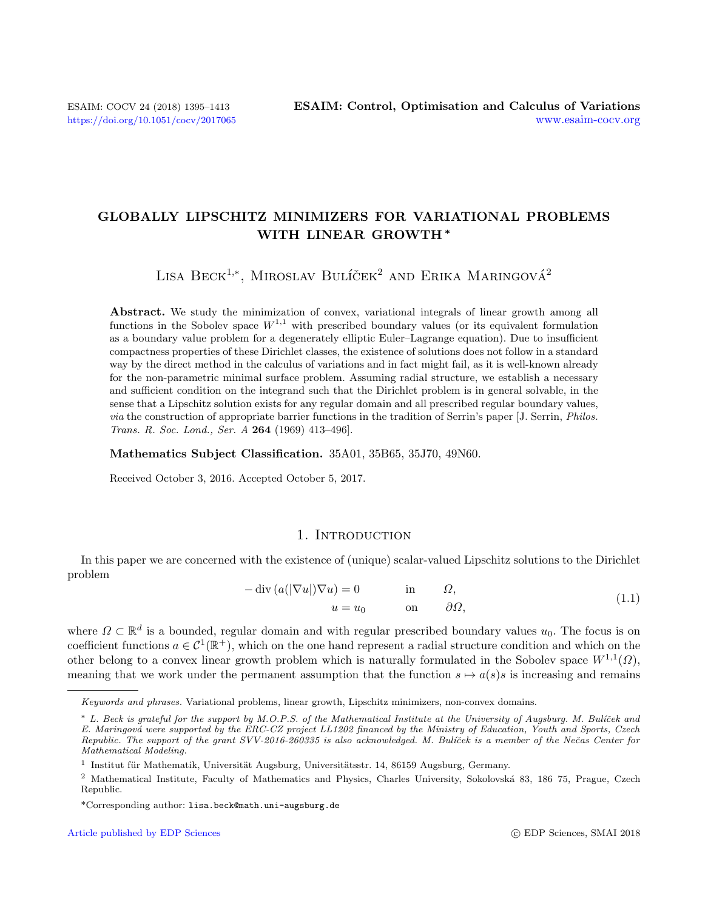# GLOBALLY LIPSCHITZ MINIMIZERS FOR VARIATIONAL PROBLEMS WITH LINEAR GROWTH <sup>∗</sup>

LISA BECK<sup>1,\*</sup>, MIROSLAV BULÍČEK<sup>2</sup> AND ERIKA MARINGOVÁ<sup>2</sup>

Abstract. We study the minimization of convex, variational integrals of linear growth among all functions in the Sobolev space  $W^{1,1}$  with prescribed boundary values (or its equivalent formulation as a boundary value problem for a degenerately elliptic Euler–Lagrange equation). Due to insufficient compactness properties of these Dirichlet classes, the existence of solutions does not follow in a standard way by the direct method in the calculus of variations and in fact might fail, as it is well-known already for the non-parametric minimal surface problem. Assuming radial structure, we establish a necessary and sufficient condition on the integrand such that the Dirichlet problem is in general solvable, in the sense that a Lipschitz solution exists for any regular domain and all prescribed regular boundary values, via the construction of appropriate barrier functions in the tradition of Serrin's paper [J. Serrin, Philos. Trans. R. Soc. Lond., Ser. A 264 (1969) 413–496].

<span id="page-0-0"></span>Mathematics Subject Classification. 35A01, 35B65, 35J70, 49N60.

Received October 3, 2016. Accepted October 5, 2017.

# 1. INTRODUCTION

In this paper we are concerned with the existence of (unique) scalar-valued Lipschitz solutions to the Dirichlet problem

| $-\operatorname{div}\left(a( \nabla u )\nabla u\right)=0$ | in $\Omega$ , |                  | (1.1) |
|-----------------------------------------------------------|---------------|------------------|-------|
| $u=u_0$                                                   | on            | $\partial\Omega$ |       |

where  $\Omega \subset \mathbb{R}^d$  is a bounded, regular domain and with regular prescribed boundary values  $u_0$ . The focus is on coefficient functions  $a \in C^1(\mathbb{R}^+)$ , which on the one hand represent a radial structure condition and which on the other belong to a convex linear growth problem which is naturally formulated in the Sobolev space  $W^{1,1}(\Omega)$ , meaning that we work under the permanent assumption that the function  $s \mapsto a(s)s$  is increasing and remains

Keywords and phrases. Variational problems, linear growth, Lipschitz minimizers, non-convex domains.

<sup>\*</sup> L. Beck is grateful for the support by M.O.P.S. of the Mathematical Institute at the University of Augsburg. M. Bulíček and E. Maringová were supported by the ERC-CZ project LL1202 financed by the Ministry of Education, Youth and Sports, Czech Republic. The support of the grant SVV-2016-260335 is also acknowledged. M. Bulíček is a member of the Nečas Center for Mathematical Modeling.

<sup>&</sup>lt;sup>1</sup> Institut für Mathematik, Universität Augsburg, Universitätsstr. 14, 86159 Augsburg, Germany.

<sup>&</sup>lt;sup>2</sup> Mathematical Institute, Faculty of Mathematics and Physics, Charles University, Sokolovská 83, 186 75, Prague, Czech Republic.

<sup>\*</sup>Corresponding author: lisa.beck@math.uni-augsburg.de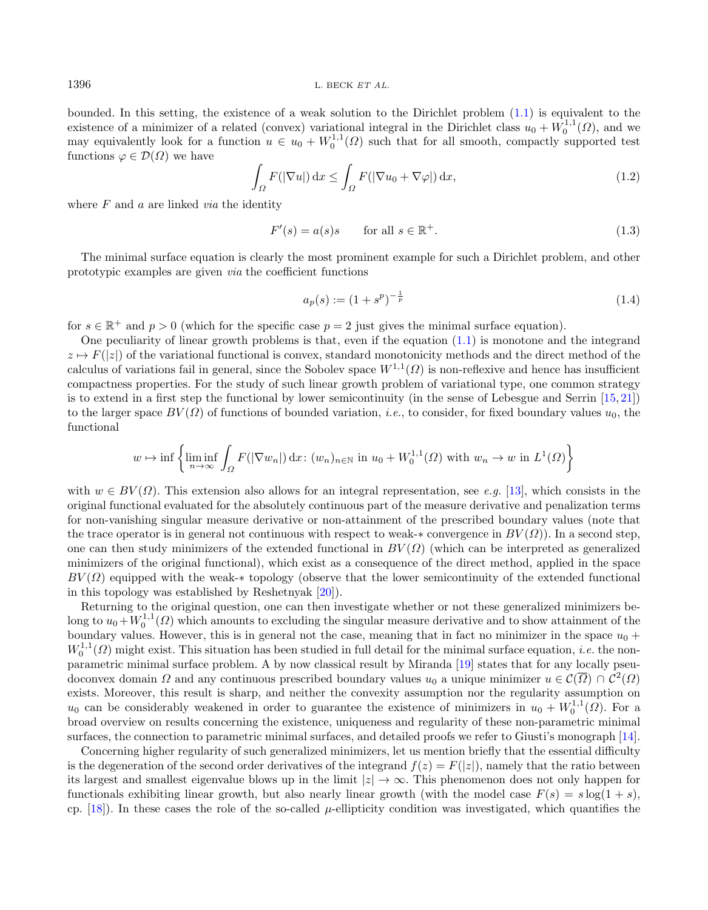$1396$  L. BECK ET AL.

bounded. In this setting, the existence of a weak solution to the Dirichlet problem [\(1.1\)](#page-0-0) is equivalent to the existence of a minimizer of a related (convex) variational integral in the Dirichlet class  $u_0 + W_0^{1,1}(\Omega)$ , and we may equivalently look for a function  $u \in u_0 + W_0^{1,1}(\Omega)$  such that for all smooth, compactly supported test functions  $\varphi \in \mathcal{D}(\Omega)$  we have

<span id="page-1-1"></span><span id="page-1-0"></span>
$$
\int_{\Omega} F(|\nabla u|) dx \le \int_{\Omega} F(|\nabla u_0 + \nabla \varphi|) dx,
$$
\n(1.2)

where  $F$  and  $a$  are linked *via* the identity

$$
F'(s) = a(s)s \qquad \text{for all } s \in \mathbb{R}^+.
$$
 (1.3)

The minimal surface equation is clearly the most prominent example for such a Dirichlet problem, and other prototypic examples are given via the coefficient functions

$$
a_p(s) := (1 + s^p)^{-\frac{1}{p}} \tag{1.4}
$$

for  $s \in \mathbb{R}^+$  and  $p > 0$  (which for the specific case  $p = 2$  just gives the minimal surface equation).

One peculiarity of linear growth problems is that, even if the equation [\(1.1\)](#page-0-0) is monotone and the integrand  $z \mapsto F(|z|)$  of the variational functional is convex, standard monotonicity methods and the direct method of the calculus of variations fail in general, since the Sobolev space  $W^{1,1}(\Omega)$  is non-reflexive and hence has insufficient compactness properties. For the study of such linear growth problem of variational type, one common strategy is to extend in a first step the functional by lower semicontinuity (in the sense of Lebesgue and Serrin  $[15, 21]$  $[15, 21]$  $[15, 21]$ ) to the larger space  $BV(\Omega)$  of functions of bounded variation, *i.e.*, to consider, for fixed boundary values  $u_0$ , the functional

$$
w \mapsto \inf \left\{ \liminf_{n \to \infty} \int_{\Omega} F(|\nabla w_n|) dx \colon (w_n)_{n \in \mathbb{N}} \text{ in } u_0 + W_0^{1,1}(\Omega) \text{ with } w_n \to w \text{ in } L^1(\Omega) \right\}
$$

with  $w \in BV(\Omega)$ . This extension also allows for an integral representation, see e.g. [\[13\]](#page-18-2), which consists in the original functional evaluated for the absolutely continuous part of the measure derivative and penalization terms for non-vanishing singular measure derivative or non-attainment of the prescribed boundary values (note that the trace operator is in general not continuous with respect to weak-∗ convergence in  $BV(\Omega)$ ). In a second step, one can then study minimizers of the extended functional in  $BV(\Omega)$  (which can be interpreted as generalized minimizers of the original functional), which exist as a consequence of the direct method, applied in the space  $BV(\Omega)$  equipped with the weak-∗ topology (observe that the lower semicontinuity of the extended functional in this topology was established by Reshetnyak [\[20\]](#page-18-3)).

Returning to the original question, one can then investigate whether or not these generalized minimizers belong to  $u_0 + W_0^{1,1}(\Omega)$  which amounts to excluding the singular measure derivative and to show attainment of the boundary values. However, this is in general not the case, meaning that in fact no minimizer in the space  $u_0$  +  $W_0^{1,1}(\Omega)$  might exist. This situation has been studied in full detail for the minimal surface equation, *i.e.* the nonparametric minimal surface problem. A by now classical result by Miranda [\[19\]](#page-18-4) states that for any locally pseudoconvex domain  $\Omega$  and any continuous prescribed boundary values  $u_0$  a unique minimizer  $u \in \mathcal{C}(\overline{\Omega}) \cap \mathcal{C}^2(\Omega)$ exists. Moreover, this result is sharp, and neither the convexity assumption nor the regularity assumption on  $u_0$  can be considerably weakened in order to guarantee the existence of minimizers in  $u_0 + W_0^{1,1}(\Omega)$ . For a broad overview on results concerning the existence, uniqueness and regularity of these non-parametric minimal surfaces, the connection to parametric minimal surfaces, and detailed proofs we refer to Giusti's monograph [\[14\]](#page-18-5).

Concerning higher regularity of such generalized minimizers, let us mention briefly that the essential difficulty is the degeneration of the second order derivatives of the integrand  $f(z) = F(|z|)$ , namely that the ratio between its largest and smallest eigenvalue blows up in the limit  $|z| \to \infty$ . This phenomenon does not only happen for functionals exhibiting linear growth, but also nearly linear growth (with the model case  $F(s) = s \log(1 + s)$ , cp. [\[18\]](#page-18-6)). In these cases the role of the so-called  $\mu$ -ellipticity condition was investigated, which quantifies the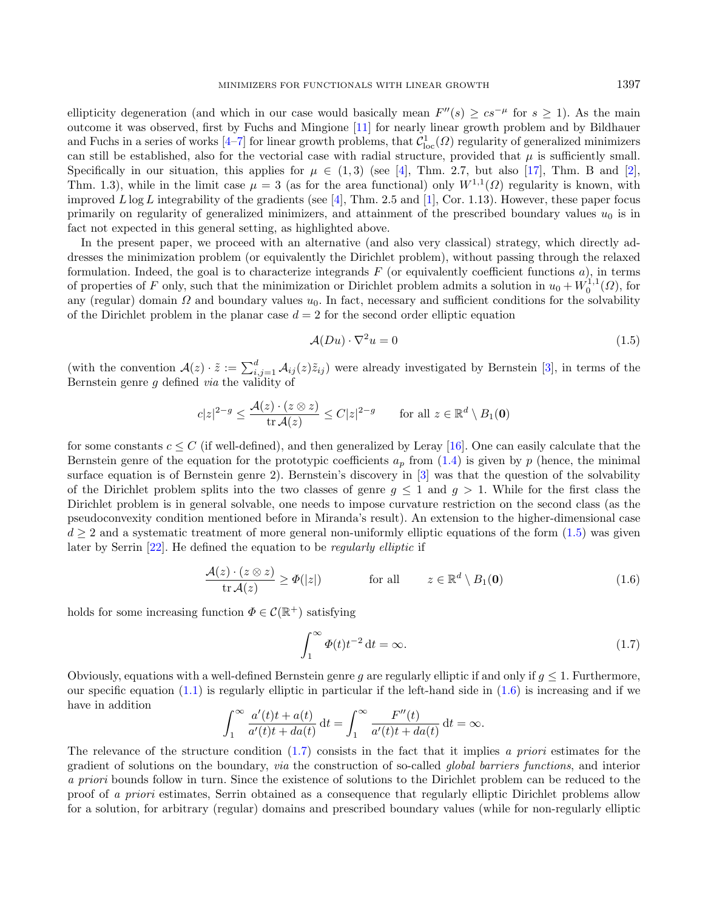ellipticity degeneration (and which in our case would basically mean  $F''(s) \geq c s^{-\mu}$  for  $s \geq 1$ ). As the main outcome it was observed, first by Fuchs and Mingione [\[11\]](#page-18-7) for nearly linear growth problem and by Bildhauer and Fuchs in a series of works  $[4-7]$  $[4-7]$  for linear growth problems, that  $\mathcal{C}^1_{loc}(\Omega)$  regularity of generalized minimizers can still be established, also for the vectorial case with radial structure, provided that  $\mu$  is sufficiently small. Specifically in our situation, this applies for  $\mu \in (1,3)$  (see [\[4\]](#page-18-8), Thm. 2.7, but also [\[17\]](#page-18-10), Thm. B and [\[2\]](#page-17-0), Thm. 1.3), while in the limit case  $\mu = 3$  (as for the area functional) only  $W^{1,1}(\Omega)$  regularity is known, with improved  $L \log L$  integrability of the gradients (see [\[4\]](#page-18-8), Thm. 2.5 and [\[1\]](#page-17-1), Cor. 1.13). However, these paper focus primarily on regularity of generalized minimizers, and attainment of the prescribed boundary values  $u_0$  is in fact not expected in this general setting, as highlighted above.

In the present paper, we proceed with an alternative (and also very classical) strategy, which directly addresses the minimization problem (or equivalently the Dirichlet problem), without passing through the relaxed formulation. Indeed, the goal is to characterize integrands  $F$  (or equivalently coefficient functions  $a$ ), in terms of properties of F only, such that the minimization or Dirichlet problem admits a solution in  $u_0 + W_0^{1,1}(\Omega)$ , for any (regular) domain  $\Omega$  and boundary values  $u_0$ . In fact, necessary and sufficient conditions for the solvability of the Dirichlet problem in the planar case  $d = 2$  for the second order elliptic equation

<span id="page-2-2"></span><span id="page-2-1"></span><span id="page-2-0"></span>
$$
\mathcal{A}(Du) \cdot \nabla^2 u = 0 \tag{1.5}
$$

(with the convention  $\mathcal{A}(z) \cdot \tilde{z} := \sum_{i,j=1}^d \mathcal{A}_{ij}(z)\tilde{z}_{ij}$ ) were already investigated by Bernstein [\[3\]](#page-18-11), in terms of the Bernstein genre g defined via the validity of

$$
c|z|^{2-g} \le \frac{\mathcal{A}(z) \cdot (z \otimes z)}{\operatorname{tr} \mathcal{A}(z)} \le C|z|^{2-g} \qquad \text{for all } z \in \mathbb{R}^d \setminus B_1(\mathbf{0})
$$

for some constants  $c \leq C$  (if well-defined), and then generalized by Leray [\[16\]](#page-18-12). One can easily calculate that the Bernstein genre of the equation for the prototypic coefficients  $a_p$  from [\(1.4\)](#page-1-0) is given by p (hence, the minimal surface equation is of Bernstein genre 2). Bernstein's discovery in [\[3\]](#page-18-11) was that the question of the solvability of the Dirichlet problem splits into the two classes of genre  $g \leq 1$  and  $g > 1$ . While for the first class the Dirichlet problem is in general solvable, one needs to impose curvature restriction on the second class (as the pseudoconvexity condition mentioned before in Miranda's result). An extension to the higher-dimensional case  $d \geq 2$  and a systematic treatment of more general non-uniformly elliptic equations of the form  $(1.5)$  was given later by Serrin [\[22\]](#page-18-13). He defined the equation to be regularly elliptic if

$$
\frac{\mathcal{A}(z) \cdot (z \otimes z)}{\operatorname{tr} \mathcal{A}(z)} \ge \varPhi(|z|) \quad \text{for all} \quad z \in \mathbb{R}^d \setminus B_1(\mathbf{0}) \tag{1.6}
$$

holds for some increasing function  $\Phi \in \mathcal{C}(\mathbb{R}^+)$  satisfying

$$
\int_{1}^{\infty} \Phi(t)t^{-2} dt = \infty.
$$
 (1.7)

Obviously, equations with a well-defined Bernstein genre q are regularly elliptic if and only if  $q \leq 1$ . Furthermore, our specific equation  $(1.1)$  is regularly elliptic in particular if the left-hand side in  $(1.6)$  is increasing and if we have in addition

$$
\int_1^{\infty} \frac{a'(t)t + a(t)}{a'(t)t + da(t)} dt = \int_1^{\infty} \frac{F''(t)}{a'(t)t + da(t)} dt = \infty.
$$

The relevance of the structure condition [\(1.7\)](#page-2-2) consists in the fact that it implies a priori estimates for the gradient of solutions on the boundary, via the construction of so-called global barriers functions, and interior a priori bounds follow in turn. Since the existence of solutions to the Dirichlet problem can be reduced to the proof of a priori estimates, Serrin obtained as a consequence that regularly elliptic Dirichlet problems allow for a solution, for arbitrary (regular) domains and prescribed boundary values (while for non-regularly elliptic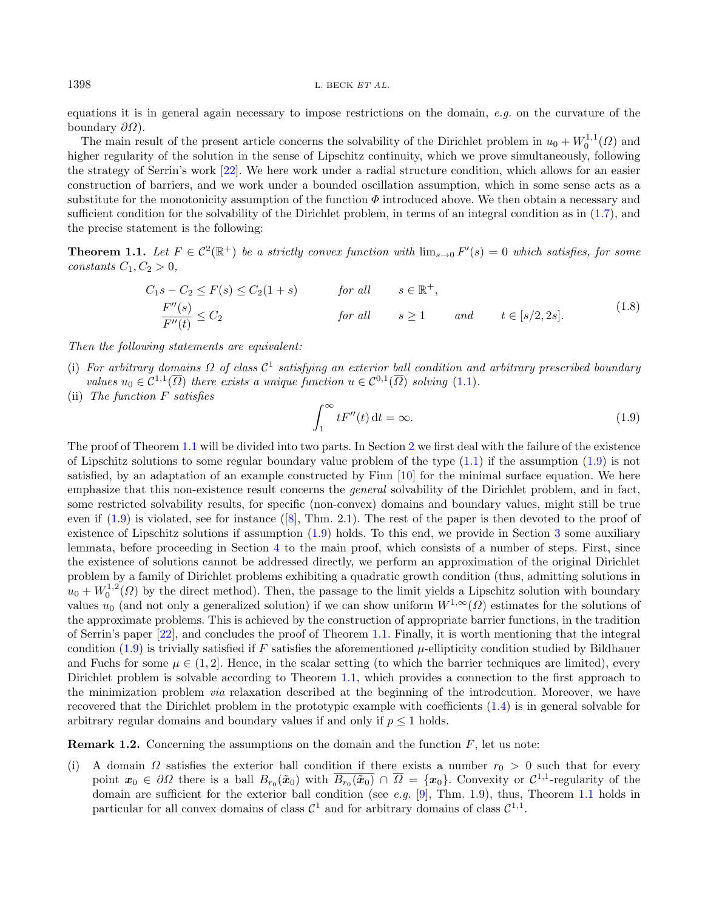equations it is in general again necessary to impose restrictions on the domain,  $e.g.$  on the curvature of the boundary  $\partial\Omega$ ).

The main result of the present article concerns the solvability of the Dirichlet problem in  $u_0 + W_0^{1,1}(\Omega)$  and higher regularity of the solution in the sense of Lipschitz continuity, which we prove simultaneously, following the strategy of Serrin's work [\[22\]](#page-18-13). We here work under a radial structure condition, which allows for an easier construction of barriers, and we work under a bounded oscillation assumption, which in some sense acts as a substitute for the monotonicity assumption of the function  $\Phi$  introduced above. We then obtain a necessary and sufficient condition for the solvability of the Dirichlet problem, in terms of an integral condition as in [\(1.7\)](#page-2-2), and the precise statement is the following:

<span id="page-3-0"></span>**Theorem 1.1.** Let  $F \in C^2(\mathbb{R}^+)$  be a strictly convex function with  $\lim_{s\to 0} F'(s) = 0$  which satisfies, for some constants  $C_1, C_2 > 0$ ,

<span id="page-3-1"></span>
$$
C_1s - C_2 \le F(s) \le C_2(1+s) \qquad \text{for all} \qquad s \in \mathbb{R}^+,
$$
  
\n
$$
\frac{F''(s)}{F''(t)} \le C_2 \qquad \text{for all} \qquad s \ge 1 \qquad \text{and} \qquad t \in [s/2, 2s].
$$
\n(1.8)

Then the following statements are equivalent:

- (i) For arbitrary domains  $\Omega$  of class  $C^1$  satisfying an exterior ball condition and arbitrary prescribed boundary values  $u_0 \in C^{1,1}(\overline{\Omega})$  there exists a unique function  $u \in C^{0,1}(\overline{\Omega})$  solving  $(1.1)$ .
- (ii) The function F satisfies

$$
\int_{1}^{\infty} tF''(t) dt = \infty.
$$
\n(1.9)

The proof of Theorem [1.1](#page-3-0) will be divided into two parts. In Section [2](#page-4-0) we first deal with the failure of the existence of Lipschitz solutions to some regular boundary value problem of the type  $(1.1)$  if the assumption  $(1.9)$  is not satisfied, by an adaptation of an example constructed by Finn [\[10\]](#page-18-14) for the minimal surface equation. We here emphasize that this non-existence result concerns the general solvability of the Dirichlet problem, and in fact, some restricted solvability results, for specific (non-convex) domains and boundary values, might still be true even if  $(1.9)$  is violated, see for instance  $([8], Thm. 2.1)$  $([8], Thm. 2.1)$  $([8], Thm. 2.1)$ . The rest of the paper is then devoted to the proof of existence of Lipschitz solutions if assumption [\(1.9\)](#page-3-1) holds. To this end, we provide in Section [3](#page-6-0) some auxiliary lemmata, before proceeding in Section [4](#page-8-0) to the main proof, which consists of a number of steps. First, since the existence of solutions cannot be addressed directly, we perform an approximation of the original Dirichlet problem by a family of Dirichlet problems exhibiting a quadratic growth condition (thus, admitting solutions in  $u_0 + W_0^{1,2}(\Omega)$  by the direct method). Then, the passage to the limit yields a Lipschitz solution with boundary values  $u_0$  (and not only a generalized solution) if we can show uniform  $W^{1,\infty}(\Omega)$  estimates for the solutions of the approximate problems. This is achieved by the construction of appropriate barrier functions, in the tradition of Serrin's paper [\[22\]](#page-18-13), and concludes the proof of Theorem [1.1.](#page-3-0) Finally, it is worth mentioning that the integral condition [\(1.9\)](#page-3-1) is trivially satisfied if F satisfies the aforementioned  $\mu$ -ellipticity condition studied by Bildhauer and Fuchs for some  $\mu \in (1, 2]$ . Hence, in the scalar setting (to which the barrier techniques are limited), every Dirichlet problem is solvable according to Theorem [1.1,](#page-3-0) which provides a connection to the first approach to the minimization problem via relaxation described at the beginning of the introdcution. Moreover, we have recovered that the Dirichlet problem in the prototypic example with coefficients [\(1.4\)](#page-1-0) is in general solvable for arbitrary regular domains and boundary values if and only if  $p \leq 1$  holds.

**Remark 1.2.** Concerning the assumptions on the domain and the function  $F$ , let us note:

(i) A domain  $\Omega$  satisfies the exterior ball condition if there exists a number  $r_0 > 0$  such that for every point  $x_0 \in \partial\Omega$  there is a ball  $B_{r_0}(\tilde{x}_0)$  with  $\overline{B_{r_0}(\tilde{x}_0)} \cap \overline{\Omega} = \{x_0\}$ . Convexity or  $\mathcal{C}^{1,1}$ -regularity of the domain are sufficient for the exterior ball condition (see e.g. [\[9\]](#page-18-16), Thm. 1.9), thus, Theorem [1.1](#page-3-0) holds in particular for all convex domains of class  $C^1$  and for arbitrary domains of class  $C^{1,1}$ .

<span id="page-3-2"></span>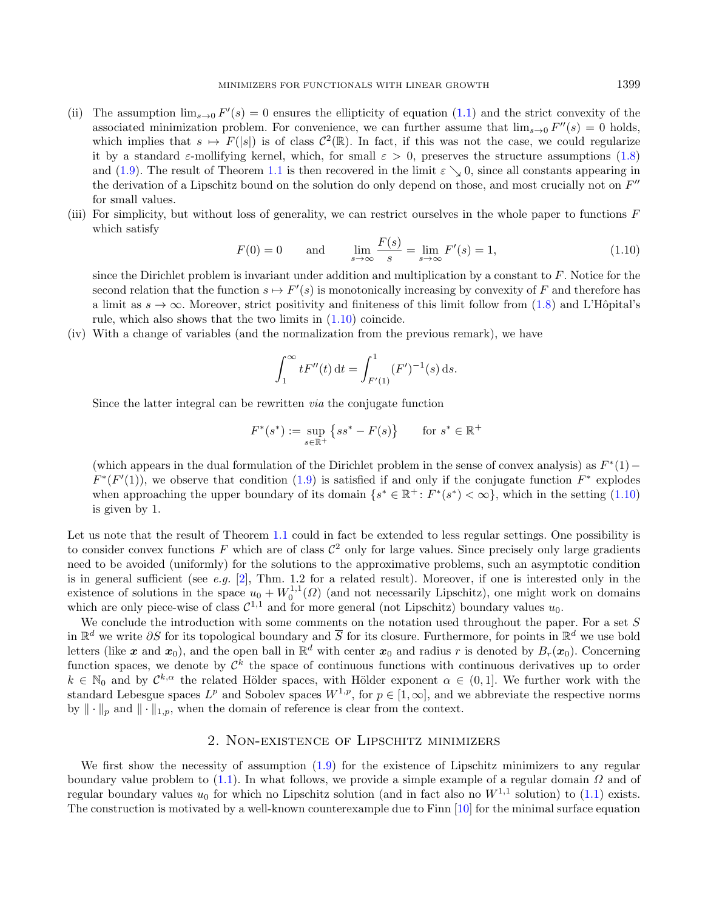- <span id="page-4-1"></span>(ii) The assumption  $\lim_{s\to 0} F'(s) = 0$  ensures the ellipticity of equation [\(1.1\)](#page-0-0) and the strict convexity of the associated minimization problem. For convenience, we can further assume that  $\lim_{s\to 0} F''(s) = 0$  holds, which implies that  $s \mapsto F(|s|)$  is of class  $\mathcal{C}^2(\mathbb{R})$ . In fact, if this was not the case, we could regularize it by a standard  $\varepsilon$ -mollifying kernel, which, for small  $\varepsilon > 0$ , preserves the structure assumptions [\(1.8\)](#page-3-2) and [\(1.9\)](#page-3-1). The result of Theorem [1.1](#page-3-0) is then recovered in the limit  $\varepsilon \searrow 0$ , since all constants appearing in the derivation of a Lipschitz bound on the solution do only depend on those, and most crucially not on  $F''$ for small values.
- (iii) For simplicity, but without loss of generality, we can restrict ourselves in the whole paper to functions  $F$ which satisfy

$$
F(0) = 0
$$
 and  $\lim_{s \to \infty} \frac{F(s)}{s} = \lim_{s \to \infty} F'(s) = 1,$  (1.10)

since the Dirichlet problem is invariant under addition and multiplication by a constant to  $F$ . Notice for the second relation that the function  $s \mapsto F'(s)$  is monotonically increasing by convexity of F and therefore has a limit as  $s \to \infty$ . Moreover, strict positivity and finiteness of this limit follow from [\(1.8\)](#page-3-2) and L'Hôpital's rule, which also shows that the two limits in [\(1.10\)](#page-4-1) coincide.

(iv) With a change of variables (and the normalization from the previous remark), we have

$$
\int_1^{\infty} t F''(t) dt = \int_{F'(1)}^1 (F')^{-1}(s) ds.
$$

Since the latter integral can be rewritten via the conjugate function

$$
F^*(s^*):=\sup_{s\in\mathbb{R}^+}\left\{ss^*-F(s)\right\}\qquad\text{for }s^*\in\mathbb{R}^+
$$

(which appears in the dual formulation of the Dirichlet problem in the sense of convex analysis) as  $F^*(1)$  –  $F^*(F'(1))$ , we observe that condition [\(1.9\)](#page-3-1) is satisfied if and only if the conjugate function  $F^*$  explodes when approaching the upper boundary of its domain  $\{s^* \in \mathbb{R}^+ : F^*(s^*) < \infty\}$ , which in the setting  $(1.10)$ is given by 1.

Let us note that the result of Theorem [1.1](#page-3-0) could in fact be extended to less regular settings. One possibility is to consider convex functions F which are of class  $\mathcal{C}^2$  only for large values. Since precisely only large gradients need to be avoided (uniformly) for the solutions to the approximative problems, such an asymptotic condition is in general sufficient (see *e.g.* [\[2\]](#page-17-0), Thm. 1.2 for a related result). Moreover, if one is interested only in the existence of solutions in the space  $u_0 + W_0^{1,1}(\Omega)$  (and not necessarily Lipschitz), one might work on domains which are only piece-wise of class  $C^{1,1}$  and for more general (not Lipschitz) boundary values  $u_0$ .

We conclude the introduction with some comments on the notation used throughout the paper. For a set S in  $\mathbb{R}^d$  we write  $\partial S$  for its topological boundary and  $\overline{S}$  for its closure. Furthermore, for points in  $\mathbb{R}^d$  we use bold letters (like x and  $x_0$ ), and the open ball in  $\mathbb{R}^d$  with center  $x_0$  and radius r is denoted by  $B_r(x_0)$ . Concerning function spaces, we denote by  $\mathcal{C}^k$  the space of continuous functions with continuous derivatives up to order  $k \in \mathbb{N}_0$  and by  $\mathcal{C}^{k,\alpha}$  the related Hölder spaces, with Hölder exponent  $\alpha \in (0,1]$ . We further work with the standard Lebesgue spaces  $L^p$  and Sobolev spaces  $W^{1,p}$ , for  $p \in [1,\infty]$ , and we abbreviate the respective norms by  $\|\cdot\|_p$  and  $\|\cdot\|_{1,p}$ , when the domain of reference is clear from the context.

## 2. Non-existence of Lipschitz minimizers

<span id="page-4-0"></span>We first show the necessity of assumption  $(1.9)$  for the existence of Lipschitz minimizers to any regular boundary value problem to [\(1.1\)](#page-0-0). In what follows, we provide a simple example of a regular domain  $\Omega$  and of regular boundary values  $u_0$  for which no Lipschitz solution (and in fact also no  $W^{1,1}$  solution) to [\(1.1\)](#page-0-0) exists. The construction is motivated by a well-known counterexample due to Finn [\[10\]](#page-18-14) for the minimal surface equation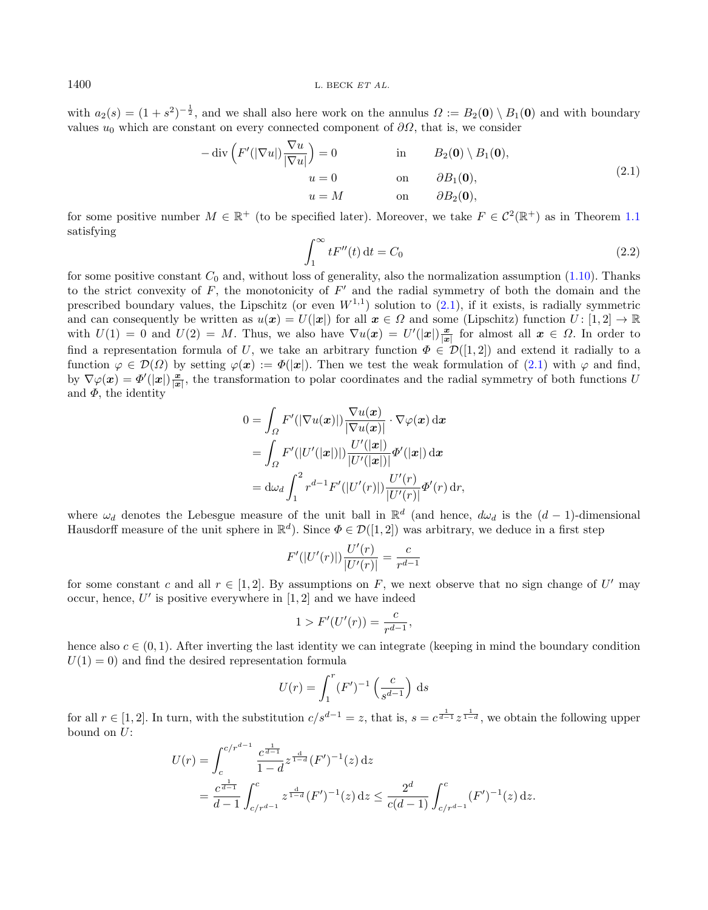with  $a_2(s) = (1 + s^2)^{-\frac{1}{2}}$ , and we shall also here work on the annulus  $\Omega := B_2(0) \setminus B_1(0)$  and with boundary values  $u_0$  which are constant on every connected component of  $\partial\Omega$ , that is, we consider

$$
-\operatorname{div}\left(F'(|\nabla u|)\frac{\nabla u}{|\nabla u|}\right) = 0 \qquad \text{in} \qquad B_2(\mathbf{0}) \setminus B_1(\mathbf{0}),
$$
  
\n
$$
u = 0 \qquad \text{on} \qquad \partial B_1(\mathbf{0}),
$$
  
\n
$$
u = M \qquad \text{on} \qquad \partial B_2(\mathbf{0}), \qquad (2.1)
$$

for some positive number  $M \in \mathbb{R}^+$  (to be specified later). Moreover, we take  $F \in C^2(\mathbb{R}^+)$  as in Theorem [1.1](#page-3-0) satisfying

<span id="page-5-0"></span>
$$
\int_{1}^{\infty} tF''(t) dt = C_0 \tag{2.2}
$$

for some positive constant  $C_0$  and, without loss of generality, also the normalization assumption [\(1.10\)](#page-4-1). Thanks to the strict convexity of  $F$ , the monotonicity of  $F'$  and the radial symmetry of both the domain and the prescribed boundary values, the Lipschitz (or even  $W^{1,1}$ ) solution to  $(2.1)$ , if it exists, is radially symmetric and can consequently be written as  $u(x) = U(|x|)$  for all  $x \in \Omega$  and some (Lipschitz) function  $U: [1, 2] \to \mathbb{R}$ with  $U(1) = 0$  and  $U(2) = M$ . Thus, we also have  $\nabla u(x) = U'(x|\mathbf{x})\frac{x}{|x|}$  for almost all  $x \in \Omega$ . In order to find a representation formula of U, we take an arbitrary function  $\Phi \in \mathcal{D}([1,2])$  and extend it radially to a function  $\varphi \in \mathcal{D}(\Omega)$  by setting  $\varphi(x) := \Phi(|x|)$ . Then we test the weak formulation of [\(2.1\)](#page-5-0) with  $\varphi$  and find, by  $\nabla \varphi(\bm{x}) = \varPhi'(|\bm{x}|) \frac{\bm{x}}{|\bm{x}|}$ , the transformation to polar coordinates and the radial symmetry of both functions U and  $\Phi$ , the identity

$$
0 = \int_{\Omega} F'(|\nabla u(\boldsymbol{x})|) \frac{\nabla u(\boldsymbol{x})}{|\nabla u(\boldsymbol{x})|} \cdot \nabla \varphi(\boldsymbol{x}) d\boldsymbol{x}
$$
  
\n
$$
= \int_{\Omega} F'(|U'(|\boldsymbol{x}|)|) \frac{U'(|\boldsymbol{x}|)}{|U'(|\boldsymbol{x}|)|} \Phi'(|\boldsymbol{x}|) d\boldsymbol{x}
$$
  
\n
$$
= d\omega_d \int_1^2 r^{d-1} F'(|U'(r)|) \frac{U'(r)}{|U'(r)|} \Phi'(r) dr,
$$

where  $\omega_d$  denotes the Lebesgue measure of the unit ball in  $\mathbb{R}^d$  (and hence,  $d\omega_d$  is the  $(d-1)$ -dimensional Hausdorff measure of the unit sphere in  $\mathbb{R}^d$ ). Since  $\Phi \in \mathcal{D}([1,2])$  was arbitrary, we deduce in a first step

$$
F'(|U'(r)|)\frac{U'(r)}{|U'(r)|} = \frac{c}{r^{d-1}}
$$

for some constant c and all  $r \in [1,2]$ . By assumptions on F, we next observe that no sign change of U' may occur, hence,  $U'$  is positive everywhere in  $[1, 2]$  and we have indeed

$$
1 > F'(U'(r)) = \frac{c}{r^{d-1}},
$$

hence also  $c \in (0, 1)$ . After inverting the last identity we can integrate (keeping in mind the boundary condition  $U(1) = 0$ ) and find the desired representation formula

$$
U(r) = \int_1^r (F')^{-1} \left(\frac{c}{s^{d-1}}\right) \, ds
$$

for all  $r \in [1,2]$ . In turn, with the substitution  $c/s^{d-1} = z$ , that is,  $s = c^{\frac{1}{d-1}} z^{\frac{1}{1-d}}$ , we obtain the following upper bound on U:

$$
U(r) = \int_{c}^{c/r^{d-1}} \frac{c^{\frac{1}{d-1}}}{1-d} z^{\frac{d}{1-d}} (F')^{-1}(z) dz
$$
  
= 
$$
\frac{c^{\frac{1}{d-1}}}{d-1} \int_{c/r^{d-1}}^{c} z^{\frac{d}{1-d}} (F')^{-1}(z) dz \le \frac{2^d}{c(d-1)} \int_{c/r^{d-1}}^{c} (F')^{-1}(z) dz.
$$

<span id="page-5-1"></span>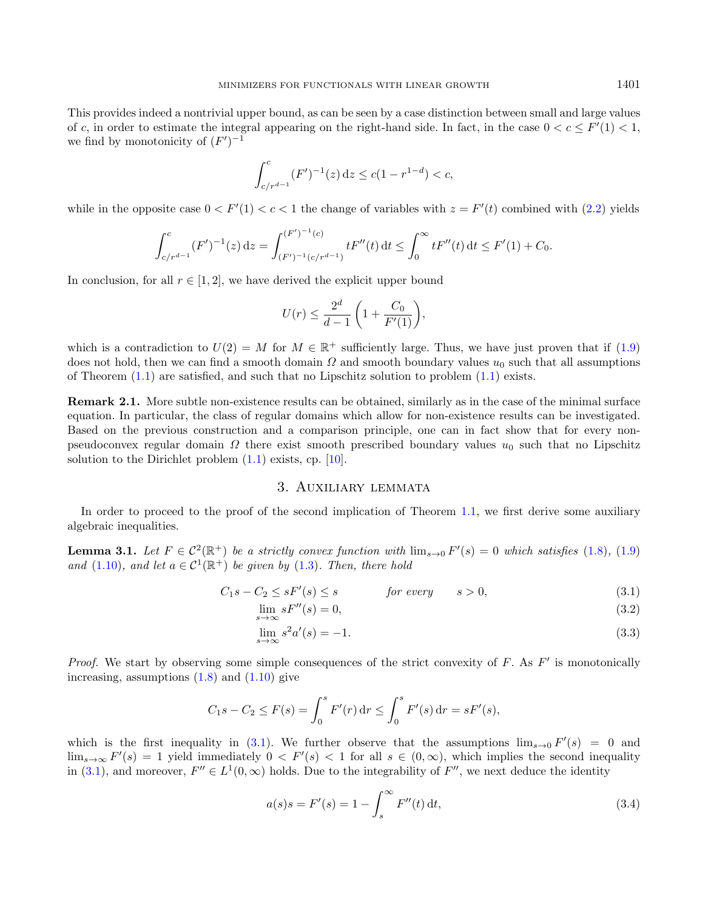This provides indeed a nontrivial upper bound, as can be seen by a case distinction between small and large values of c, in order to estimate the integral appearing on the right-hand side. In fact, in the case  $0 < c \leq F'(1) < 1$ , we find by monotonicity of  $(F')^{-1}$ 

$$
\int_{c/r^{d-1}}^{c} (F')^{-1}(z) dz \le c(1 - r^{1-d}) < c,
$$

while in the opposite case  $0 < F'(1) < c < 1$  the change of variables with  $z = F'(t)$  combined with  $(2.2)$  yields

$$
\int_{c/r^{d-1}}^c (F')^{-1}(z) dz = \int_{(F')^{-1}(c/r^{d-1})}^{(F')^{-1}(c)} tF''(t) dt \le \int_0^\infty tF''(t) dt \le F'(1) + C_0.
$$

In conclusion, for all  $r \in [1,2]$ , we have derived the explicit upper bound

$$
U(r) \le \frac{2^d}{d-1} \left( 1 + \frac{C_0}{F'(1)} \right),\,
$$

which is a contradiction to  $U(2) = M$  for  $M \in \mathbb{R}^+$  sufficiently large. Thus, we have just proven that if  $(1.9)$ does not hold, then we can find a smooth domain  $\Omega$  and smooth boundary values  $u_0$  such that all assumptions of Theorem  $(1.1)$  are satisfied, and such that no Lipschitz solution to problem  $(1.1)$  exists.

Remark 2.1. More subtle non-existence results can be obtained, similarly as in the case of the minimal surface equation. In particular, the class of regular domains which allow for non-existence results can be investigated. Based on the previous construction and a comparison principle, one can in fact show that for every nonpseudoconvex regular domain  $\Omega$  there exist smooth prescribed boundary values  $u_0$  such that no Lipschitz solution to the Dirichlet problem  $(1.1)$  exists, cp.  $[10]$ .

## <span id="page-6-4"></span><span id="page-6-3"></span><span id="page-6-2"></span><span id="page-6-1"></span>3. Auxiliary lemmata

<span id="page-6-0"></span>In order to proceed to the proof of the second implication of Theorem [1.1,](#page-3-0) we first derive some auxiliary algebraic inequalities.

<span id="page-6-5"></span>**Lemma 3.1.** Let  $F \in C^2(\mathbb{R}^+)$  be a strictly convex function with  $\lim_{s\to 0} F'(s) = 0$  which satisfies [\(1.8\)](#page-3-2), [\(1.9\)](#page-3-1) and [\(1.10\)](#page-4-1), and let  $a \in C^1(\mathbb{R}^+)$  be given by [\(1.3\)](#page-1-1). Then, there hold

$$
C_1s - C_2 \le sF'(s) \le s \qquad \text{for every} \qquad s > 0,
$$
\n
$$
(3.1)
$$

$$
\lim_{s \to \infty} sF''(s) = 0,\tag{3.2}
$$

$$
\lim_{s \to \infty} s^2 a'(s) = -1. \tag{3.3}
$$

Proof. We start by observing some simple consequences of the strict convexity of  $F$ . As  $F'$  is monotonically increasing, assumptions  $(1.8)$  and  $(1.10)$  give

$$
C_1s - C_2 \le F(s) = \int_0^s F'(r) dr \le \int_0^s F'(s) dr = sF'(s),
$$

which is the first inequality in [\(3.1\)](#page-6-1). We further observe that the assumptions  $\lim_{s\to 0} F'(s) = 0$  and  $\lim_{s\to\infty} F'(s) = 1$  yield immediately  $0 < F'(s) < 1$  for all  $s \in (0,\infty)$ , which implies the second inequality in [\(3.1\)](#page-6-1), and moreover,  $F'' \in L^1(0, \infty)$  holds. Due to the integrability of  $F''$ , we next deduce the identity

$$
a(s)s = F'(s) = 1 - \int_{s}^{\infty} F''(t) dt,
$$
\n(3.4)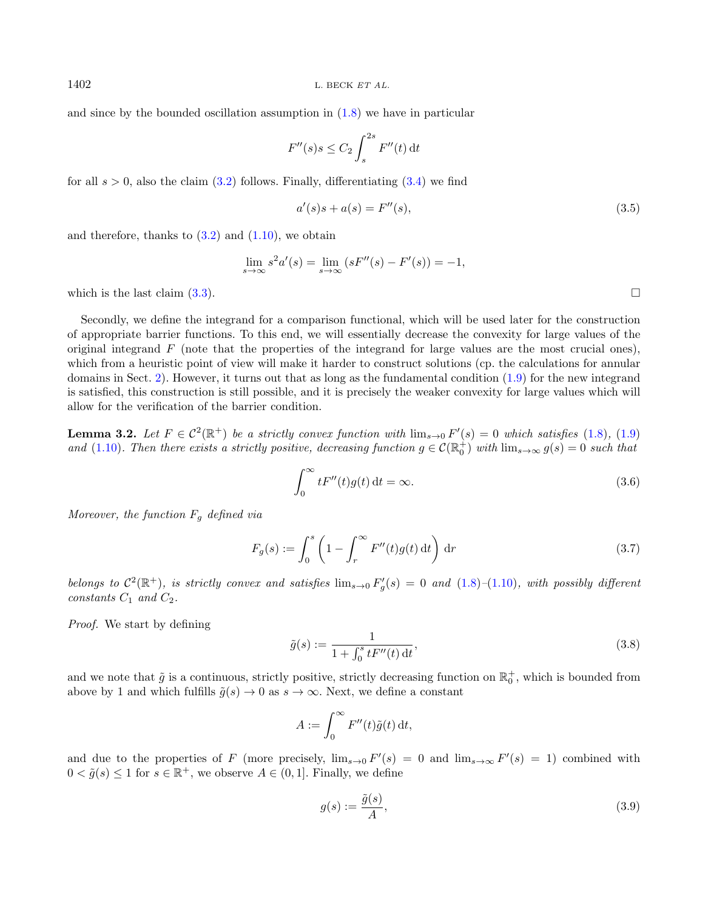$1402$  L. BECK ET AL.

and since by the bounded oscillation assumption in  $(1.8)$  we have in particular

<span id="page-7-3"></span>
$$
F''(s)s \le C_2 \int_s^{2s} F''(t) dt
$$

for all  $s > 0$ , also the claim [\(3.2\)](#page-6-2) follows. Finally, differentiating [\(3.4\)](#page-6-3) we find

$$
a'(s)s + a(s) = F''(s),
$$
\n(3.5)

and therefore, thanks to  $(3.2)$  and  $(1.10)$ , we obtain

<span id="page-7-1"></span>
$$
\lim_{s \to \infty} s^2 a'(s) = \lim_{s \to \infty} (sF''(s) - F'(s)) = -1,
$$

which is the last claim  $(3.3)$ .

Secondly, we define the integrand for a comparison functional, which will be used later for the construction of appropriate barrier functions. To this end, we will essentially decrease the convexity for large values of the original integrand  $F$  (note that the properties of the integrand for large values are the most crucial ones), which from a heuristic point of view will make it harder to construct solutions (cp. the calculations for annular domains in Sect. [2\)](#page-4-0). However, it turns out that as long as the fundamental condition [\(1.9\)](#page-3-1) for the new integrand is satisfied, this construction is still possible, and it is precisely the weaker convexity for large values which will allow for the verification of the barrier condition.

<span id="page-7-2"></span>**Lemma 3.2.** Let  $F \in C^2(\mathbb{R}^+)$  be a strictly convex function with  $\lim_{s\to 0} F'(s) = 0$  which satisfies [\(1.8\)](#page-3-2), [\(1.9\)](#page-3-1) and [\(1.10\)](#page-4-1). Then there exists a strictly positive, decreasing function  $g \in \mathcal{C}(\mathbb{R}^+_0)$  with  $\lim_{s\to\infty} g(s) = 0$  such that

$$
\int_0^\infty tF''(t)g(t) dt = \infty.
$$
\n(3.6)

Moreover, the function  $F_g$  defined via

$$
F_g(s) := \int_0^s \left(1 - \int_r^\infty F''(t)g(t) dt\right) dr \tag{3.7}
$$

belongs to  $\mathcal{C}^2(\mathbb{R}^+)$ , is strictly convex and satisfies  $\lim_{s\to 0} F'_g(s) = 0$  and  $(1.8)$ – $(1.10)$ , with possibly different constants  $C_1$  and  $C_2$ .

Proof. We start by defining

$$
\tilde{g}(s) := \frac{1}{1 + \int_0^s tF''(t) dt},
$$
\n(3.8)

and we note that  $\tilde{g}$  is a continuous, strictly positive, strictly decreasing function on  $\mathbb{R}^+_0$ , which is bounded from above by 1 and which fulfills  $\tilde{g}(s) \to 0$  as  $s \to \infty$ . Next, we define a constant

$$
A := \int_0^\infty F''(t)\tilde{g}(t) \,\mathrm{d}t,
$$

and due to the properties of F (more precisely,  $\lim_{s\to 0} F'(s) = 0$  and  $\lim_{s\to\infty} F'(s) = 1$ ) combined with  $0 < \tilde{g}(s) \leq 1$  for  $s \in \mathbb{R}^+$ , we observe  $A \in (0, 1]$ . Finally, we define

$$
g(s) := \frac{\tilde{g}(s)}{A},\tag{3.9}
$$

<span id="page-7-0"></span>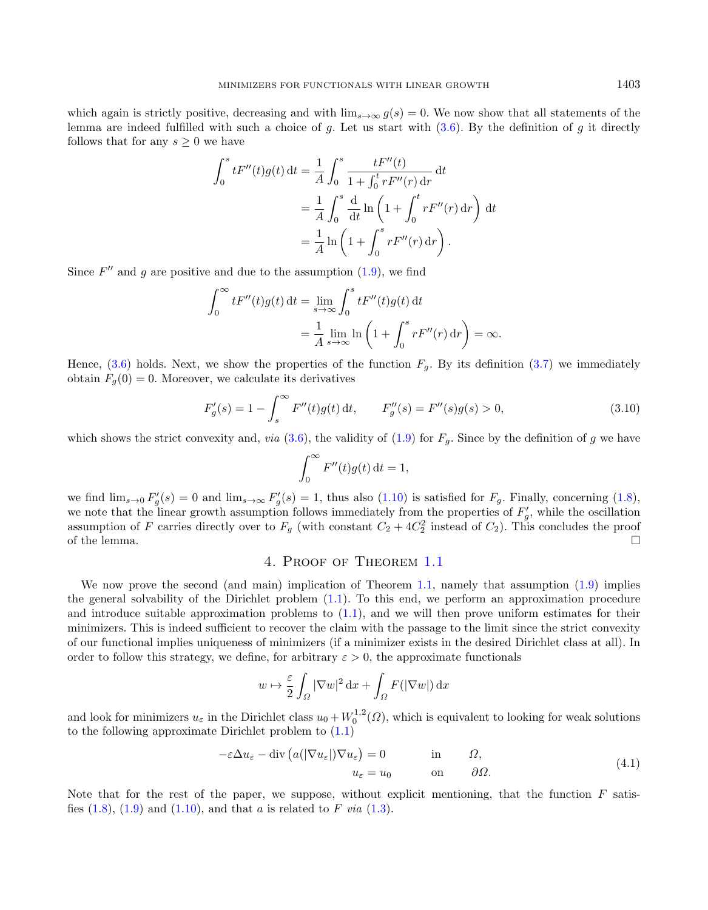which again is strictly positive, decreasing and with  $\lim_{s\to\infty} g(s) = 0$ . We now show that all statements of the lemma are indeed fulfilled with such a choice of g. Let us start with  $(3.6)$ . By the definition of g it directly follows that for any  $s \geq 0$  we have

<span id="page-8-2"></span>
$$
\int_0^s tF''(t)g(t) dt = \frac{1}{A} \int_0^s \frac{tF''(t)}{1 + \int_0^t rF''(r) dr} dt
$$
  
=  $\frac{1}{A} \int_0^s \frac{d}{dt} \ln \left( 1 + \int_0^t rF''(r) dr \right) dt$   
=  $\frac{1}{A} \ln \left( 1 + \int_0^s rF''(r) dr \right).$ 

Since  $F''$  and g are positive and due to the assumption  $(1.9)$ , we find

$$
\int_0^\infty t F''(t) g(t) dt = \lim_{s \to \infty} \int_0^s t F''(t) g(t) dt
$$
  
=  $\frac{1}{A} \lim_{s \to \infty} \ln \left( 1 + \int_0^s r F''(r) dr \right) = \infty.$ 

Hence, [\(3.6\)](#page-7-0) holds. Next, we show the properties of the function  $F<sub>q</sub>$ . By its definition [\(3.7\)](#page-7-1) we immediately obtain  $F_q(0) = 0$ . Moreover, we calculate its derivatives

$$
F'_{g}(s) = 1 - \int_{s}^{\infty} F''(t)g(t) dt, \qquad F''_{g}(s) = F''(s)g(s) > 0,
$$
\n(3.10)

which shows the strict convexity and, via [\(3.6\)](#page-7-0), the validity of [\(1.9\)](#page-3-1) for  $F<sub>g</sub>$ . Since by the definition of g we have

$$
\int_0^\infty F''(t)g(t) \, \mathrm{d}t = 1,
$$

we find  $\lim_{s\to 0} F'_g(s) = 0$  and  $\lim_{s\to\infty} F'_g(s) = 1$ , thus also  $(1.10)$  is satisfied for  $F_g$ . Finally, concerning  $(1.8)$ , we note that the linear growth assumption follows immediately from the properties of  $F_g'$ , while the oscillation assumption of F carries directly over to  $F<sub>g</sub>$  (with constant  $C_2 + 4C_2^2$  instead of  $C_2$ ). This concludes the proof of the lemma.  $\Box$ 

# <span id="page-8-1"></span>4. Proof of Theorem [1.1](#page-3-0)

<span id="page-8-0"></span>We now prove the second (and main) implication of Theorem [1.1,](#page-3-0) namely that assumption [\(1.9\)](#page-3-1) implies the general solvability of the Dirichlet problem [\(1.1\)](#page-0-0). To this end, we perform an approximation procedure and introduce suitable approximation problems to  $(1.1)$ , and we will then prove uniform estimates for their minimizers. This is indeed sufficient to recover the claim with the passage to the limit since the strict convexity of our functional implies uniqueness of minimizers (if a minimizer exists in the desired Dirichlet class at all). In order to follow this strategy, we define, for arbitrary  $\varepsilon > 0$ , the approximate functionals

$$
w \mapsto \frac{\varepsilon}{2} \int_{\Omega} |\nabla w|^2 \, \mathrm{d}x + \int_{\Omega} F(|\nabla w|) \, \mathrm{d}x
$$

and look for minimizers  $u_{\varepsilon}$  in the Dirichlet class  $u_0 + W_0^{1,2}(\Omega)$ , which is equivalent to looking for weak solutions to the following approximate Dirichlet problem to [\(1.1\)](#page-0-0)

$$
-\varepsilon \Delta u_{\varepsilon} - \text{div}\left(a(|\nabla u_{\varepsilon}|)\nabla u_{\varepsilon}\right) = 0 \qquad \text{in} \qquad \Omega,
$$
  

$$
u_{\varepsilon} = u_0 \qquad \text{on} \qquad \partial\Omega.
$$
 (4.1)

Note that for the rest of the paper, we suppose, without explicit mentioning, that the function  $F$  satisfies  $(1.8)$ ,  $(1.9)$  and  $(1.10)$ , and that a is related to F via  $(1.3)$ .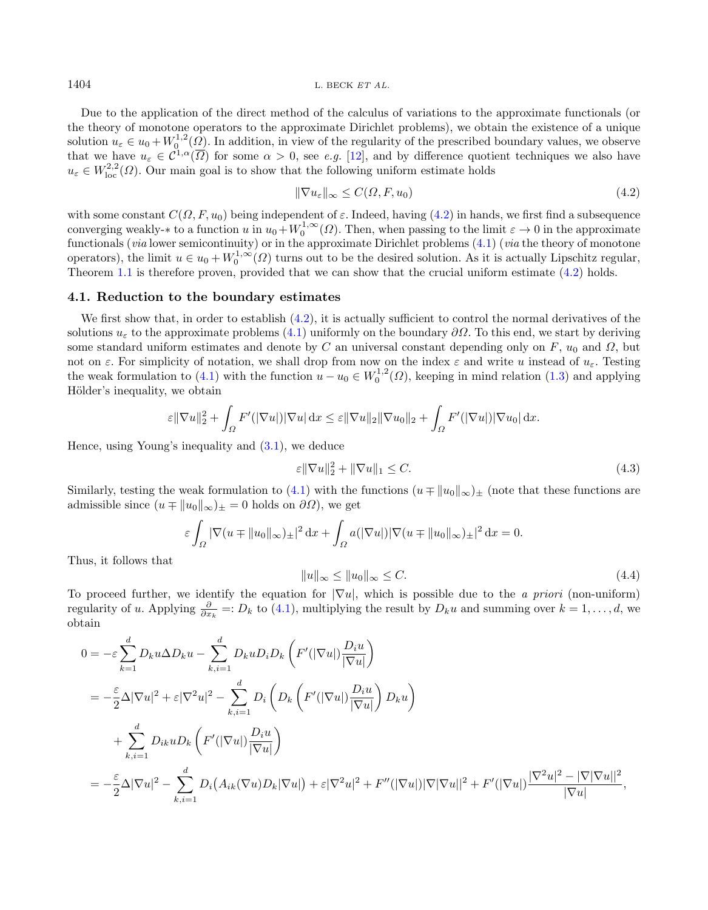$1404$  L. BECK ET AL.

Due to the application of the direct method of the calculus of variations to the approximate functionals (or the theory of monotone operators to the approximate Dirichlet problems), we obtain the existence of a unique solution  $u_{\varepsilon} \in u_0 + W_0^{1,2}(\underline{\Omega})$ . In addition, in view of the regularity of the prescribed boundary values, we observe that we have  $u_{\varepsilon} \in C^{1,\alpha}(\overline{\Omega})$  for some  $\alpha > 0$ , see e.g. [\[12\]](#page-18-17), and by difference quotient techniques we also have  $u_{\varepsilon} \in W^{2,2}_{loc}(\Omega)$ . Our main goal is to show that the following uniform estimate holds

<span id="page-9-0"></span>
$$
\|\nabla u_{\varepsilon}\|_{\infty} \le C(\Omega, F, u_0) \tag{4.2}
$$

with some constant  $C(\Omega, F, u_0)$  being independent of  $\varepsilon$ . Indeed, having [\(4.2\)](#page-9-0) in hands, we first find a subsequence converging weakly- $*$  to a function u in  $u_0 + W_0^{1,\infty}(\Omega)$ . Then, when passing to the limit  $\varepsilon \to 0$  in the approximate functionals (*via* lower semicontinuity) or in the approximate Dirichlet problems [\(4.1\)](#page-8-1) (*via* the theory of monotone operators), the limit  $u \in u_0 + W_0^{1,\infty}(\Omega)$  turns out to be the desired solution. As it is actually Lipschitz regular, Theorem [1.1](#page-3-0) is therefore proven, provided that we can show that the crucial uniform estimate  $(4.2)$  holds.

#### <span id="page-9-2"></span>4.1. Reduction to the boundary estimates

We first show that, in order to establish  $(4.2)$ , it is actually sufficient to control the normal derivatives of the solutions  $u_{\varepsilon}$  to the approximate problems [\(4.1\)](#page-8-1) uniformly on the boundary  $\partial\Omega$ . To this end, we start by deriving some standard uniform estimates and denote by C an universal constant depending only on F,  $u_0$  and  $\Omega$ , but not on  $\varepsilon$ . For simplicity of notation, we shall drop from now on the index  $\varepsilon$  and write u instead of  $u_{\varepsilon}$ . Testing the weak formulation to [\(4.1\)](#page-8-1) with the function  $u - u_0 \in W_0^{1,2}(\Omega)$ , keeping in mind relation [\(1.3\)](#page-1-1) and applying Hölder's inequality, we obtain

<span id="page-9-1"></span>
$$
\varepsilon \|\nabla u\|_2^2 + \int_{\Omega} F'(|\nabla u|)|\nabla u| \,dx \leq \varepsilon \|\nabla u\|_2 \|\nabla u_0\|_2 + \int_{\Omega} F'(|\nabla u|)|\nabla u_0| \,dx.
$$

Hence, using Young's inequality and [\(3.1\)](#page-6-1), we deduce

$$
\varepsilon \|\nabla u\|_2^2 + \|\nabla u\|_1 \le C. \tag{4.3}
$$

Similarly, testing the weak formulation to [\(4.1\)](#page-8-1) with the functions  $(u \mp ||u_0||_{\infty})_{\pm}$  (note that these functions are admissible since  $(u \mp ||u_0||_{\infty})_{\pm} = 0$  holds on  $\partial\Omega$ , we get

$$
\varepsilon \int_{\Omega} |\nabla(u \mp ||u_0||_{\infty})_{\pm}|^2 dx + \int_{\Omega} a(|\nabla u|) |\nabla(u \mp ||u_0||_{\infty})_{\pm}|^2 dx = 0.
$$

Thus, it follows that

$$
||u||_{\infty} \le ||u_0||_{\infty} \le C. \tag{4.4}
$$

To proceed further, we identify the equation for  $|\nabla u|$ , which is possible due to the *a priori* (non-uniform) regularity of u. Applying  $\frac{\partial}{\partial x_k}$  =:  $D_k$  to [\(4.1\)](#page-8-1), multiplying the result by  $D_k u$  and summing over  $k = 1, ..., d$ , we obtain

$$
0 = -\varepsilon \sum_{k=1}^{d} D_k u \Delta D_k u - \sum_{k,i=1}^{d} D_k u D_i D_k \left( F'(|\nabla u|) \frac{D_i u}{|\nabla u|} \right)
$$
  
\n
$$
= -\frac{\varepsilon}{2} \Delta |\nabla u|^2 + \varepsilon |\nabla^2 u|^2 - \sum_{k,i=1}^{d} D_i \left( D_k \left( F'(|\nabla u|) \frac{D_i u}{|\nabla u|} \right) D_k u \right)
$$
  
\n
$$
+ \sum_{k,i=1}^{d} D_{ik} u D_k \left( F'(|\nabla u|) \frac{D_i u}{|\nabla u|} \right)
$$
  
\n
$$
= -\frac{\varepsilon}{2} \Delta |\nabla u|^2 - \sum_{k,i=1}^{d} D_i (A_{ik} (\nabla u) D_k |\nabla u|) + \varepsilon |\nabla^2 u|^2 + F''(|\nabla u|) |\nabla |\nabla u||^2 + F'(|\nabla u|) \frac{|\nabla^2 u|^2 - |\nabla |\nabla u||^2}{|\nabla u|},
$$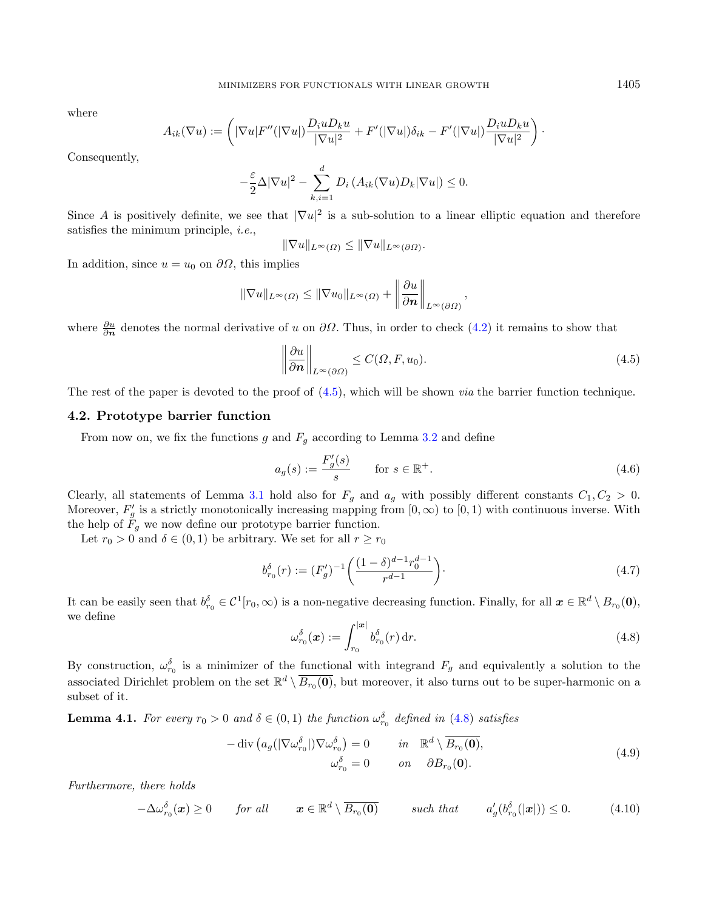where

$$
A_{ik}(\nabla u) := \left( |\nabla u| F''(|\nabla u|) \frac{D_i u D_k u}{|\nabla u|^2} + F'(|\nabla u|) \delta_{ik} - F'(|\nabla u|) \frac{D_i u D_k u}{|\nabla u|^2} \right).
$$

Consequently,

$$
-\frac{\varepsilon}{2}\Delta|\nabla u|^2 - \sum_{k,i=1}^d D_i\left(A_{ik}(\nabla u)D_k|\nabla u|\right) \le 0.
$$

Since A is positively definite, we see that  $|\nabla u|^2$  is a sub-solution to a linear elliptic equation and therefore satisfies the minimum principle, i.e.,

<span id="page-10-5"></span><span id="page-10-0"></span>
$$
\|\nabla u\|_{L^{\infty}(\Omega)} \le \|\nabla u\|_{L^{\infty}(\partial\Omega)}.
$$

In addition, since  $u = u_0$  on  $\partial\Omega$ , this implies

$$
\|\nabla u\|_{L^{\infty}(\Omega)} \leq \|\nabla u_0\|_{L^{\infty}(\Omega)} + \left\|\frac{\partial u}{\partial n}\right\|_{L^{\infty}(\partial\Omega)},
$$

where  $\frac{\partial u}{\partial n}$  denotes the normal derivative of u on  $\partial\Omega$ . Thus, in order to check [\(4.2\)](#page-9-0) it remains to show that

<span id="page-10-4"></span>
$$
\left\|\frac{\partial u}{\partial n}\right\|_{L^{\infty}(\partial\Omega)} \leq C(\Omega, F, u_0). \tag{4.5}
$$

The rest of the paper is devoted to the proof of  $(4.5)$ , which will be shown *via* the barrier function technique.

### 4.2. Prototype barrier function

<span id="page-10-1"></span>From now on, we fix the functions g and  $F_q$  according to Lemma [3.2](#page-7-2) and define

$$
a_g(s) := \frac{F'_g(s)}{s} \qquad \text{for } s \in \mathbb{R}^+.
$$
\n
$$
(4.6)
$$

Clearly, all statements of Lemma [3.1](#page-6-5) hold also for  $F_g$  and  $a_g$  with possibly different constants  $C_1, C_2 > 0$ . Moreover,  $F'_g$  is a strictly monotonically increasing mapping from  $[0, \infty)$  to  $[0, 1)$  with continuous inverse. With the help of  $F_g$  we now define our prototype barrier function.

Let  $r_0 > 0$  and  $\delta \in (0, 1)$  be arbitrary. We set for all  $r \ge r_0$ 

<span id="page-10-3"></span>
$$
b_{r_0}^{\delta}(r) := (F_g')^{-1} \left( \frac{(1-\delta)^{d-1} r_0^{d-1}}{r^{d-1}} \right).
$$
\n(4.7)

It can be easily seen that  $b_{r_0}^{\delta} \in C^1[r_0,\infty)$  is a non-negative decreasing function. Finally, for all  $x \in \mathbb{R}^d \setminus B_{r_0}(\mathbf{0}),$ we define

<span id="page-10-2"></span>
$$
\omega_{r_0}^{\delta}(\boldsymbol{x}) := \int_{r_0}^{|\boldsymbol{x}|} b_{r_0}^{\delta}(r) \, \mathrm{d}r. \tag{4.8}
$$

By construction,  $\omega_{r_0}^{\delta}$  is a minimizer of the functional with integrand  $F_g$  and equivalently a solution to the associated Dirichlet problem on the set  $\mathbb{R}^d \setminus \overline{B_{r_0}(\mathbf{0})}$ , but moreover, it also turns out to be super-harmonic on a subset of it.

**Lemma 4.1.** For every  $r_0 > 0$  and  $\delta \in (0,1)$  the function  $\omega_{r_0}^{\delta}$  defined in [\(4.8\)](#page-10-1) satisfies

$$
-\operatorname{div}\left(a_g(|\nabla\omega_{r_0}^{\delta}|)\nabla\omega_{r_0}^{\delta}\right) = 0 \qquad in \quad \mathbb{R}^d \setminus \overline{B_{r_0}(\mathbf{0})},
$$
  

$$
\omega_{r_0}^{\delta} = 0 \qquad on \quad \partial B_{r_0}(\mathbf{0}).
$$
 (4.9)

Furthermore, there holds

$$
-\Delta \omega_{r_0}^{\delta}(\boldsymbol{x}) \geq 0 \qquad \text{for all} \qquad \boldsymbol{x} \in \mathbb{R}^d \setminus \overline{B_{r_0}(\boldsymbol{0})} \qquad \text{such that} \qquad a_g'(\boldsymbol{b}_{r_0}^{\delta}(|\boldsymbol{x}|)) \leq 0. \tag{4.10}
$$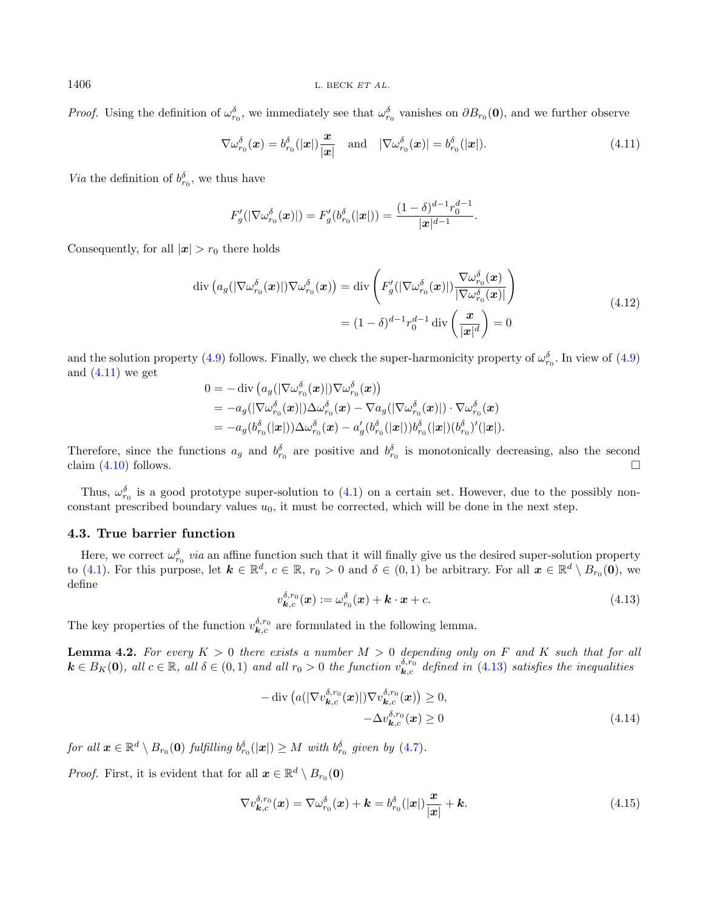*Proof.* Using the definition of  $\omega_{r_0}^{\delta}$ , we immediately see that  $\omega_{r_0}^{\delta}$  vanishes on  $\partial B_{r_0}(0)$ , and we further observe

<span id="page-11-0"></span>
$$
\nabla \omega_{r_0}^{\delta}(\boldsymbol{x}) = b_{r_0}^{\delta}(|\boldsymbol{x}|) \frac{\boldsymbol{x}}{|\boldsymbol{x}|} \quad \text{and} \quad |\nabla \omega_{r_0}^{\delta}(\boldsymbol{x})| = b_{r_0}^{\delta}(|\boldsymbol{x}|). \tag{4.11}
$$

*Via* the definition of  $b_{r_0}^{\delta}$ , we thus have

$$
F'_{g}(|\nabla \omega_{r_0}^{\delta}(\boldsymbol{x})|) = F'_{g}(b_{r_0}^{\delta}(|\boldsymbol{x}|)) = \frac{(1-\delta)^{d-1}r_0^{d-1}}{|\boldsymbol{x}|^{d-1}}.
$$

Consequently, for all  $|x| > r_0$  there holds

$$
\operatorname{div}\left(a_g(|\nabla \omega_{r_0}^{\delta}(\boldsymbol{x})|)\nabla \omega_{r_0}^{\delta}(\boldsymbol{x})\right) = \operatorname{div}\left(F'_g(|\nabla \omega_{r_0}^{\delta}(\boldsymbol{x})|)\frac{\nabla \omega_{r_0}^{\delta}(\boldsymbol{x})}{|\nabla \omega_{r_0}^{\delta}(\boldsymbol{x})|}\right)
$$
\n
$$
= (1 - \delta)^{d-1} r_0^{d-1} \operatorname{div}\left(\frac{\boldsymbol{x}}{|\boldsymbol{x}|^d}\right) = 0
$$
\n(4.12)

and the solution property [\(4.9\)](#page-10-2) follows. Finally, we check the super-harmonicity property of  $\omega_{r_0}^{\delta}$ . In view of (4.9) and  $(4.11)$  we get

$$
\begin{aligned} 0&=-\operatorname{div}\left(a_g(|\nabla\omega_{r_0}^\delta(\boldsymbol{x})|)\nabla\omega_{r_0}^\delta(\boldsymbol{x})\right) \\&=-a_g(|\nabla\omega_{r_0}^\delta(\boldsymbol{x})|)\Delta\omega_{r_0}^\delta(\boldsymbol{x})-\nabla a_g(|\nabla\omega_{r_0}^\delta(\boldsymbol{x})|)\cdot\nabla\omega_{r_0}^\delta(\boldsymbol{x}) \\&=-a_g(b_{r_0}^\delta(|\boldsymbol{x}|))\Delta\omega_{r_0}^\delta(\boldsymbol{x})-a_g'(b_{r_0}^\delta(|\boldsymbol{x}|))b_{r_0}^\delta(|\boldsymbol{x}|)(b_{r_0}^\delta)'(|\boldsymbol{x}|).\end{aligned}
$$

<span id="page-11-1"></span>Therefore, since the functions  $a_g$  and  $b_{r_0}^{\delta}$  are positive and  $b_{r_0}^{\delta}$  is monotonically decreasing, also the second claim  $(4.10)$  follows.

Thus,  $\omega_{r_0}^{\delta}$  is a good prototype super-solution to [\(4.1\)](#page-8-1) on a certain set. However, due to the possibly nonconstant prescribed boundary values  $u_0$ , it must be corrected, which will be done in the next step.

## 4.3. True barrier function

Here, we correct  $\omega_{r_0}^{\delta}$  *via* an affine function such that it will finally give us the desired super-solution property to [\(4.1\)](#page-8-1). For this purpose, let  $\mathbf{k} \in \mathbb{R}^d$ ,  $c \in \mathbb{R}$ ,  $r_0 > 0$  and  $\delta \in (0,1)$  be arbitrary. For all  $\mathbf{x} \in \mathbb{R}^d \setminus B_{r_0}(\mathbf{0})$ , we define

<span id="page-11-2"></span>
$$
v_{\boldsymbol{k},c}^{\delta,r_0}(\boldsymbol{x}) := \omega_{r_0}^{\delta}(\boldsymbol{x}) + \boldsymbol{k} \cdot \boldsymbol{x} + c.
$$
\n(4.13)

The key properties of the function  $v_{\mathbf{k},c}^{\delta,r_0}$  are formulated in the following lemma.

<span id="page-11-3"></span>**Lemma 4.2.** For every  $K > 0$  there exists a number  $M > 0$  depending only on F and K such that for all  $\mathbf{k} \in B_K(\mathbf{0})$ , all  $c \in \mathbb{R}$ , all  $\delta \in (0,1)$  and all  $r_0 > 0$  the function  $v_{\mathbf{k},c}^{\delta,r_0}$  defined in  $(4.13)$  satisfies the inequalities

$$
-\operatorname{div}\left(a(|\nabla v_{\boldsymbol{k},c}^{\delta,r_0}(\boldsymbol{x})|)\nabla v_{\boldsymbol{k},c}^{\delta,r_0}(\boldsymbol{x})\right) \ge 0, -\Delta v_{\boldsymbol{k},c}^{\delta,r_0}(\boldsymbol{x}) \ge 0
$$
\n(4.14)

for all  $\boldsymbol{x} \in \mathbb{R}^d \setminus B_{r_0}(\boldsymbol{0})$  fulfilling  $b_{r_0}^{\delta}(|\boldsymbol{x}|) \geq M$  with  $b_{r_0}^{\delta}$  given by  $(4.7)$ .

*Proof.* First, it is evident that for all  $\mathbf{x} \in \mathbb{R}^d \setminus B_{r_0}(\mathbf{0})$ 

$$
\nabla v_{\boldsymbol{k},c}^{\delta,r_0}(\boldsymbol{x}) = \nabla \omega_{r_0}^{\delta}(\boldsymbol{x}) + \boldsymbol{k} = b_{r_0}^{\delta}(|\boldsymbol{x}|) \frac{\boldsymbol{x}}{|\boldsymbol{x}|} + \boldsymbol{k}.
$$
\n(4.15)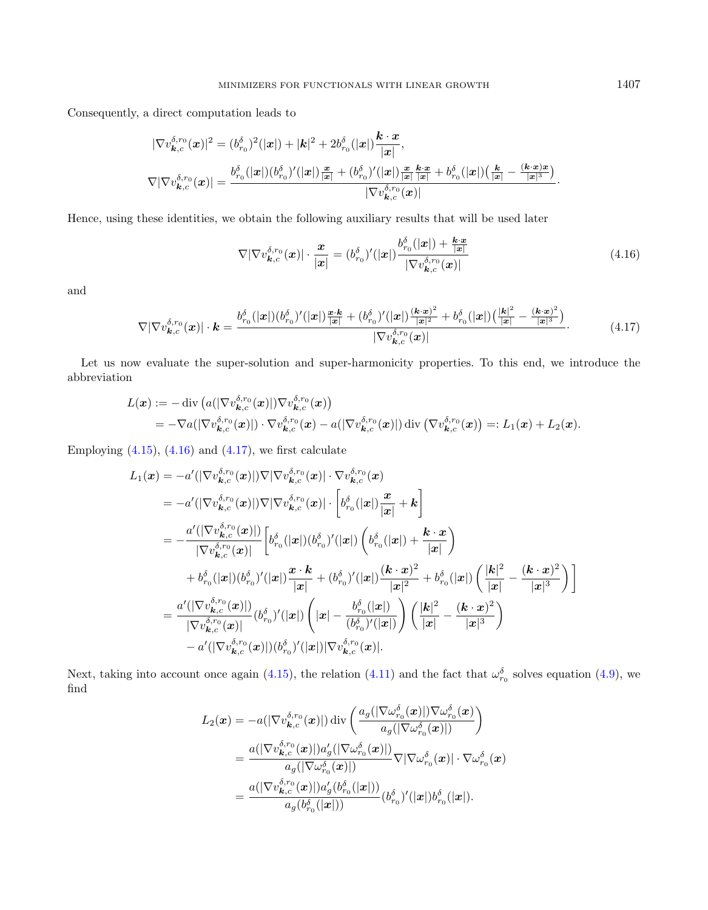<span id="page-12-1"></span>Consequently, a direct computation leads to

$$
\begin{aligned} |\nabla v_{\boldsymbol{k},c}^{\delta,r_{0}}(\boldsymbol{x})|^{2} &= (b_{r_{0}}^{\delta})^{2}(|\boldsymbol{x}|) + |\boldsymbol{k}|^{2} + 2b_{r_{0}}^{\delta}(|\boldsymbol{x}|) \frac{\boldsymbol{k} \cdot \boldsymbol{x}}{|\boldsymbol{x}|}, \\ \nabla |\nabla v_{\boldsymbol{k},c}^{\delta,r_{0}}(\boldsymbol{x})| &= \frac{b_{r_{0}}^{\delta}(|\boldsymbol{x}|)(b_{r_{0}}^{\delta})'(|\boldsymbol{x}|) \frac{\boldsymbol{x}}{|\boldsymbol{x}|} + (b_{r_{0}}^{\delta})'(|\boldsymbol{x}|) \frac{\boldsymbol{x}}{|\boldsymbol{x}|} \frac{\boldsymbol{k} \cdot \boldsymbol{x}}{|\boldsymbol{x}|} + b_{r_{0}}^{\delta}(|\boldsymbol{x}|) \left(\frac{\boldsymbol{k}}{|\boldsymbol{x}|} - \frac{(\boldsymbol{k} \cdot \boldsymbol{x}) \boldsymbol{x}}{|\boldsymbol{x}|^{3}}\right)}{|\nabla v_{\boldsymbol{k},c}^{\delta,r_{0}}(\boldsymbol{x})|} \end{aligned}
$$

Hence, using these identities, we obtain the following auxiliary results that will be used later

$$
\nabla |\nabla v_{\boldsymbol{k},c}^{\delta,r_0}(\boldsymbol{x})| \cdot \frac{\boldsymbol{x}}{|\boldsymbol{x}|} = (b_{r_0}^{\delta})'(|\boldsymbol{x}|) \frac{b_{r_0}^{\delta}(|\boldsymbol{x}|) + \frac{\boldsymbol{k} \cdot \boldsymbol{x}}{|\boldsymbol{x}|}}{|\nabla v_{\boldsymbol{k},c}^{\delta,r_0}(\boldsymbol{x})|}
$$
(4.16)

and

$$
\nabla |\nabla v_{\boldsymbol{k},c}^{\delta,r_{0}}(\boldsymbol{x})| \cdot \boldsymbol{k} = \frac{b_{r_{0}}^{\delta}(|\boldsymbol{x}|)(b_{r_{0}}^{\delta})'(|\boldsymbol{x}|)\frac{\boldsymbol{x}\cdot\boldsymbol{k}}{|\boldsymbol{x}|} + (b_{r_{0}}^{\delta})'(|\boldsymbol{x}|)\frac{(\boldsymbol{k}\cdot\boldsymbol{x})^{2}}{|\boldsymbol{x}|^{2}} + b_{r_{0}}^{\delta}(|\boldsymbol{x}|)\left(\frac{|\boldsymbol{k}|^{2}}{|\boldsymbol{x}|} - \frac{(\boldsymbol{k}\cdot\boldsymbol{x})^{2}}{|\boldsymbol{x}|^{3}}\right)}{|\nabla v_{\boldsymbol{k},c}^{\delta,r_{0}}(\boldsymbol{x})|}.
$$
\n(4.17)

Let us now evaluate the super-solution and super-harmonicity properties. To this end, we introduce the abbreviation

$$
L(\boldsymbol{x}) := -\operatorname{div} \left( a(|\nabla v_{\boldsymbol{k},c}^{\delta,r_0}(\boldsymbol{x})|) \nabla v_{\boldsymbol{k},c}^{\delta,r_0}(\boldsymbol{x}) \right) = -\nabla a(|\nabla v_{\boldsymbol{k},c}^{\delta,r_0}(\boldsymbol{x})|) \cdot \nabla v_{\boldsymbol{k},c}^{\delta,r_0}(\boldsymbol{x}) - a(|\nabla v_{\boldsymbol{k},c}^{\delta,r_0}(\boldsymbol{x})|) \operatorname{div} \left( \nabla v_{\boldsymbol{k},c}^{\delta,r_0}(\boldsymbol{x}) \right) =: L_1(\boldsymbol{x}) + L_2(\boldsymbol{x}).
$$

Employing  $(4.15)$ ,  $(4.16)$  and  $(4.17)$ , we first calculate

$$
L_{1}(\boldsymbol{x}) = -a'(|\nabla v_{\boldsymbol{k},c}^{\delta,r_{0}}(\boldsymbol{x})|)\nabla|\nabla v_{\boldsymbol{k},c}^{\delta,r_{0}}(\boldsymbol{x})| \cdot \nabla v_{\boldsymbol{k},c}^{\delta,r_{0}}(\boldsymbol{x})
$$
\n
$$
= -a'(|\nabla v_{\boldsymbol{k},c}^{\delta,r_{0}}(\boldsymbol{x})|)\nabla|\nabla v_{\boldsymbol{k},c}^{\delta,r_{0}}(\boldsymbol{x})| \cdot \left[b_{r_{0}}^{\delta}(|\boldsymbol{x}|) \frac{\boldsymbol{x}}{|\boldsymbol{x}|} + \boldsymbol{k}\right]
$$
\n
$$
= -\frac{a'(|\nabla v_{\boldsymbol{k},c}^{\delta,r_{0}}(\boldsymbol{x})|)}{|\nabla v_{\boldsymbol{k},c}^{\delta,r_{0}}(\boldsymbol{x})|} \left[b_{r_{0}}^{\delta}(|\boldsymbol{x}|) (b_{r_{0}}^{\delta})'(|\boldsymbol{x}|) \left(b_{r_{0}}^{\delta}(|\boldsymbol{x}|) + \frac{\boldsymbol{k} \cdot \boldsymbol{x}}{|\boldsymbol{x}|}\right) \right.
$$
\n
$$
+ b_{r_{0}}^{\delta}(|\boldsymbol{x}|) (b_{r_{0}}^{\delta})'(|\boldsymbol{x}|) \frac{\boldsymbol{x} \cdot \boldsymbol{k}}{|\boldsymbol{x}|} + (b_{r_{0}}^{\delta})'(|\boldsymbol{x}|) \frac{(\boldsymbol{k} \cdot \boldsymbol{x})^{2}}{|\boldsymbol{x}|^{2}} + b_{r_{0}}^{\delta}(|\boldsymbol{x}|) \left(\frac{|\boldsymbol{k}|^{2}}{|\boldsymbol{x}|} - \frac{(\boldsymbol{k} \cdot \boldsymbol{x})^{2}}{|\boldsymbol{x}|^{3}}\right)
$$
\n
$$
= \frac{a'(|\nabla v_{\boldsymbol{k},c}^{\delta,r_{0}}(\boldsymbol{x})|)}{|\nabla v_{\boldsymbol{k},c}^{\delta,r_{0}}(\boldsymbol{x})|} (b_{r_{0}}^{\delta})'(|\boldsymbol{x}|) \left(|\boldsymbol{x}| - \frac{b_{r_{0}}^{\delta}(|\boldsymbol{x}|)}{(b_{r_{0}}^{\delta})'(|\boldsymbol{x}|)}\right) \left(\frac{|\boldsymbol{k}|^{2}}{|\boldsymbol{x}|} - \frac{(\boldsymbol{k} \cdot \boldsymbol{x})^{2}}{|\boldsymbol{x}|^{3}}\right)
$$
\n
$$
- a'(|\nabla
$$

Next, taking into account once again [\(4.15\)](#page-11-2), the relation [\(4.11\)](#page-11-0) and the fact that  $\omega_{r_0}^{\delta}$  solves equation [\(4.9\)](#page-10-2), we find

$$
\begin{aligned} L_2(\boldsymbol{x})&=-a(|\nabla v^{\delta,r_0}_{\boldsymbol{k},c}(\boldsymbol{x})|)\operatorname{div}\left(\frac{a_g(|\nabla \omega^{\delta}_{r_0}(\boldsymbol{x})|)\nabla \omega^{\delta}_{r_0}(\boldsymbol{x})}{a_g(|\nabla \omega^{\delta}_{r_0}(\boldsymbol{x})|)}\right)\\ &=\frac{a(|\nabla v^{\delta,r_0}_{\boldsymbol{k},c}(\boldsymbol{x})|)a'_g(|\nabla \omega^{\delta}_{r_0}(\boldsymbol{x})|)}{a_g(|\nabla \omega^{\delta}_{r_0}(\boldsymbol{x})|)}\nabla |\nabla \omega^{\delta}_{r_0}(\boldsymbol{x})|\cdot \nabla \omega^{\delta}_{r_0}(\boldsymbol{x})\\ &=\frac{a(|\nabla v^{\delta,r_0}_{\boldsymbol{k},c}(\boldsymbol{x})|)a'_g(b^{\delta}_{r_0}(|\boldsymbol{x}|))}{a_g(b^{\delta}_{r_0}(|\boldsymbol{x}|))} (b^{\delta}_{r_0})'(|\boldsymbol{x}|)b^{\delta}_{r_0}(|\boldsymbol{x}|). \end{aligned}
$$

<span id="page-12-0"></span>·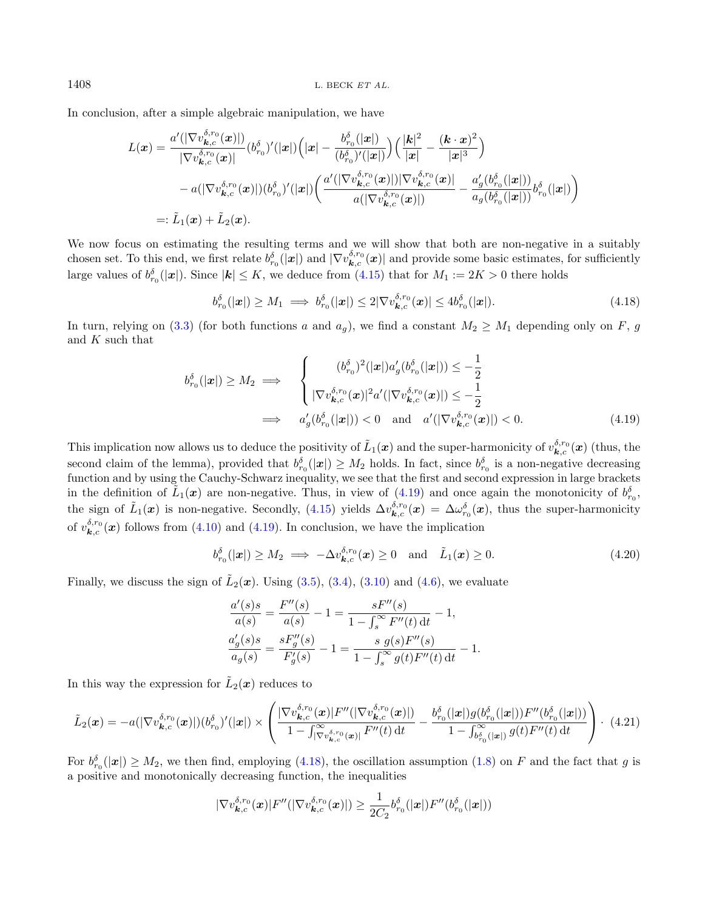In conclusion, after a simple algebraic manipulation, we have

$$
L(\boldsymbol{x}) = \frac{a'(|\nabla v_{\boldsymbol{k},c}^{\delta,r_{0}}(\boldsymbol{x})|)}{|\nabla v_{\boldsymbol{k},c}^{\delta,r_{0}}(\boldsymbol{x})|} (b_{r_{0}}^{\delta})'(|\boldsymbol{x}|) \Big( |\boldsymbol{x}| - \frac{b_{r_{0}}^{\delta}(|\boldsymbol{x}|)}{(b_{r_{0}}^{\delta})'(|\boldsymbol{x}|)} \Big) \Big( \frac{|\boldsymbol{k}|^{2}}{|\boldsymbol{x}|} - \frac{(\boldsymbol{k} \cdot \boldsymbol{x})^{2}}{|\boldsymbol{x}|^{3}} \Big) - a(|\nabla v_{\boldsymbol{k},c}^{\delta,r_{0}}(\boldsymbol{x})|) (b_{r_{0}}^{\delta})'(|\boldsymbol{x}|) \Big( \frac{a'(|\nabla v_{\boldsymbol{k},c}^{\delta,r_{0}}(\boldsymbol{x})|)|\nabla v_{\boldsymbol{k},c}^{\delta,r_{0}}(\boldsymbol{x})|}{a(|\nabla v_{\boldsymbol{k},c}^{\delta,r_{0}}(\boldsymbol{x})|)} - \frac{a'_{g}(b_{r_{0}}^{\delta}(|\boldsymbol{x}|))}{a_{g}(b_{r_{0}}^{\delta}(|\boldsymbol{x}|))} b_{r_{0}}^{\delta}(|\boldsymbol{x}|) \Big)
$$
  
=:  $\tilde{L}_{1}(\boldsymbol{x}) + \tilde{L}_{2}(\boldsymbol{x}).$ 

We now focus on estimating the resulting terms and we will show that both are non-negative in a suitably chosen set. To this end, we first relate  $b_{r_0}^{\delta}(|x|)$  and  $|\nabla v_{\mathbf{k},c}^{\delta,r_0}(\mathbf{x})|$  and provide some basic estimates, for sufficiently large values of  $b_{r_0}^{\delta}(|x|)$ . Since  $|\boldsymbol{k}| \leq K$ , we deduce from  $(4.15)$  that for  $M_1 := 2K > 0$  there holds

<span id="page-13-3"></span><span id="page-13-1"></span><span id="page-13-0"></span>
$$
b_{r_0}^{\delta}(|\mathbf{x}|) \ge M_1 \implies b_{r_0}^{\delta}(|\mathbf{x}|) \le 2|\nabla v_{\mathbf{k},c}^{\delta,r_0}(\mathbf{x})| \le 4b_{r_0}^{\delta}(|\mathbf{x}|). \tag{4.18}
$$

In turn, relying on [\(3.3\)](#page-6-4) (for both functions a and  $a_g$ ), we find a constant  $M_2 \geq M_1$  depending only on F, g and K such that

$$
b_{r_0}^{\delta}(|\mathbf{x}|) \ge M_2 \implies \begin{cases} (b_{r_0}^{\delta})^2(|\mathbf{x}|)a_g'(b_{r_0}^{\delta}(|\mathbf{x}|)) \le -\frac{1}{2} \\ |\nabla v_{\mathbf{k},c}^{\delta,r_0}(\mathbf{x})|^2 a'(|\nabla v_{\mathbf{k},c}^{\delta,r_0}(\mathbf{x})|) \le -\frac{1}{2} \\ \implies a_g'(b_{r_0}^{\delta}(|\mathbf{x}|)) < 0 \quad \text{and} \quad a'(|\nabla v_{\mathbf{k},c}^{\delta,r_0}(\mathbf{x})|) < 0. \end{cases} \tag{4.19}
$$

This implication now allows us to deduce the positivity of  $\tilde{L}_1(\bm{x})$  and the super-harmonicity of  $v_{\bm{k},c}^{\delta,r_0}(\bm{x})$  (thus, the second claim of the lemma), provided that  $b_{r_0}^{\delta}(|x|) \geq M_2$  holds. In fact, since  $b_{r_0}^{\delta}$  is a non-negative decreasing function and by using the Cauchy-Schwarz inequality, we see that the first and second expression in large brackets in the definition of  $\tilde{L}_1(x)$  are non-negative. Thus, in view of [\(4.19\)](#page-13-0) and once again the monotonicity of  $b_{r_0}^{\delta}$ , the sign of  $\tilde{L}_1(\boldsymbol{x})$  is non-negative. Secondly, [\(4.15\)](#page-11-2) yields  $\Delta v_{\boldsymbol{k},c}^{\delta,r_0}(\boldsymbol{x}) = \Delta \omega_{r_0}^{\delta}(\boldsymbol{x})$ , thus the super-harmonicity of  $v_{\mathbf{k},c}^{\delta,r_0}(\boldsymbol{x})$  follows from [\(4.10\)](#page-10-3) and [\(4.19\)](#page-13-0). In conclusion, we have the implication

<span id="page-13-2"></span>
$$
b_{r_0}^{\delta}(|\mathbf{x}|) \ge M_2 \implies -\Delta v_{\mathbf{k},c}^{\delta,r_0}(\mathbf{x}) \ge 0 \quad \text{and} \quad \tilde{L}_1(\mathbf{x}) \ge 0. \tag{4.20}
$$

Finally, we discuss the sign of  $\tilde{L}_2(\boldsymbol{x})$ . Using [\(3.5\)](#page-7-3), [\(3.4\)](#page-6-3), [\(3.10\)](#page-8-2) and [\(4.6\)](#page-10-5), we evaluate

$$
\frac{a'(s)s}{a(s)} = \frac{F''(s)}{a(s)} - 1 = \frac{sF''(s)}{1 - \int_s^\infty F''(t) dt} - 1,
$$
  

$$
\frac{a'_g(s)s}{a_g(s)} = \frac{sF''_g(s)}{F'_g(s)} - 1 = \frac{s g(s)F''(s)}{1 - \int_s^\infty g(t)F''(t) dt} - 1.
$$

In this way the expression for  $\tilde{L}_2(x)$  reduces to

$$
\tilde{L}_{2}(\boldsymbol{x}) = -a(|\nabla v_{\boldsymbol{k},c}^{\delta,r_{0}}(\boldsymbol{x})|)(b_{r_{0}}^{\delta})'(|\boldsymbol{x}|) \times \left( \frac{|\nabla v_{\boldsymbol{k},c}^{\delta,r_{0}}(\boldsymbol{x})|F''(|\nabla v_{\boldsymbol{k},c}^{\delta,r_{0}}(\boldsymbol{x})|)}{1 - \int_{|\nabla v_{\boldsymbol{k},c}^{\delta,r_{0}}(\boldsymbol{x})|}F''(t) dt} - \frac{b_{r_{0}}^{\delta}(|\boldsymbol{x}|)g(b_{r_{0}}^{\delta}(|\boldsymbol{x}|))F''(b_{r_{0}}^{\delta}(|\boldsymbol{x}|))}{1 - \int_{b_{r_{0}}^{\infty}(|\boldsymbol{x}|)} g(t)F''(t) dt} \right) \cdot (4.21)
$$

For  $b_{r_0}^{\delta}(|x|) \geq M_2$ , we then find, employing [\(4.18\)](#page-13-1), the oscillation assumption [\(1.8\)](#page-3-2) on F and the fact that g is a positive and monotonically decreasing function, the inequalities

$$
|\nabla v_{\boldsymbol{k},c}^{\delta,r_0}(\boldsymbol{x})|F''(|\nabla v_{\boldsymbol{k},c}^{\delta,r_0}(\boldsymbol{x})|) \geq \frac{1}{2C_2}b_{r_0}^{\delta}(|\boldsymbol{x}|)F''(b_{r_0}^{\delta}(|\boldsymbol{x}|))
$$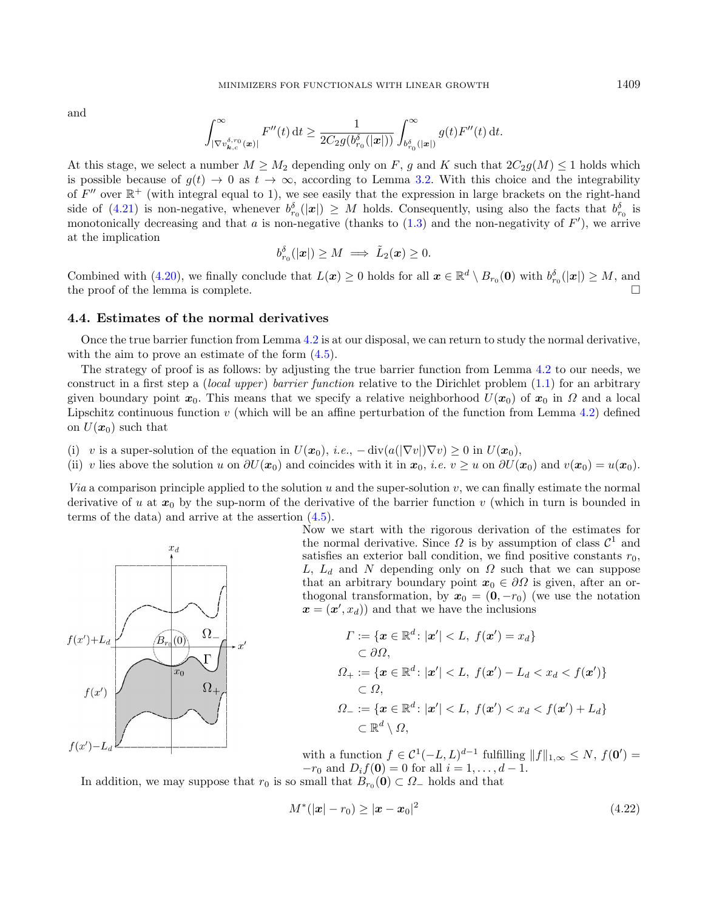and

$$
\int_{|\nabla v_{\bm{k},c}^{\delta,r_0}(\bm{x})|}^{\infty} F''(t) \, \mathrm{d}t \ge \frac{1}{2C_2 g(b_{r_0}^{\delta}(|\bm{x}|))} \int_{b_{r_0}^{\delta}(|\bm{x}|)}^{\infty} g(t) F''(t) \, \mathrm{d}t.
$$

At this stage, we select a number  $M \geq M_2$  depending only on F, g and K such that  $2C_2g(M) \leq 1$  holds which is possible because of  $g(t) \to 0$  as  $t \to \infty$ , according to Lemma [3.2.](#page-7-2) With this choice and the integrability of  $F''$  over  $\mathbb{R}^+$  (with integral equal to 1), we see easily that the expression in large brackets on the right-hand side of [\(4.21\)](#page-13-2) is non-negative, whenever  $b_r^{\delta}(|x|) \geq M$  holds. Consequently, using also the facts that  $b_{r_0}^{\delta}$  is monotonically decreasing and that a is non-negative (thanks to  $(1.3)$  and the non-negativity of  $F'$ ), we arrive at the implication

$$
b_{r_0}^{\delta}(|\boldsymbol{x}|) \geq M \implies \tilde{L}_2(\boldsymbol{x}) \geq 0.
$$

Combined with [\(4.20\)](#page-13-3), we finally conclude that  $L(\mathbf{x}) \geq 0$  holds for all  $\mathbf{x} \in \mathbb{R}^d \setminus B_{r_0}(\mathbf{0})$  with  $b_{r_0}^{\delta}(|\mathbf{x}|) \geq M$ , and the proof of the lemma is complete.  $\Box$ 

#### 4.4. Estimates of the normal derivatives

Once the true barrier function from Lemma [4.2](#page-11-3) is at our disposal, we can return to study the normal derivative, with the aim to prove an estimate of the form  $(4.5)$ .

The strategy of proof is as follows: by adjusting the true barrier function from Lemma [4.2](#page-11-3) to our needs, we construct in a first step a *(local upper) barrier function* relative to the Dirichlet problem  $(1.1)$  for an arbitrary given boundary point  $x_0$ . This means that we specify a relative neighborhood  $U(x_0)$  of  $x_0$  in  $\Omega$  and a local Lipschitz continuous function v (which will be an affine perturbation of the function from Lemma [4.2\)](#page-11-3) defined on  $U(\boldsymbol{x}_0)$  such that

- (i) v is a super-solution of the equation in  $U(\mathbf{x}_0)$ , i.e.,  $-\text{div}(a(|\nabla v|)\nabla v) \geq 0$  in  $U(\mathbf{x}_0)$ ,
- (ii) v lies above the solution u on  $\partial U(x_0)$  and coincides with it in  $x_0$ , i.e.  $v \geq u$  on  $\partial U(x_0)$  and  $v(x_0) = u(x_0)$ .

Via a comparison principle applied to the solution u and the super-solution v, we can finally estimate the normal derivative of u at  $x_0$  by the sup-norm of the derivative of the barrier function v (which in turn is bounded in terms of the data) and arrive at the assertion [\(4.5\)](#page-10-0).



Now we start with the rigorous derivation of the estimates for the normal derivative. Since  $\Omega$  is by assumption of class  $\mathcal{C}^1$  and satisfies an exterior ball condition, we find positive constants  $r_0$ , L,  $L_d$  and N depending only on  $\Omega$  such that we can suppose that an arbitrary boundary point  $x_0 \in \partial\Omega$  is given, after an orthogonal transformation, by  $x_0 = (0, -r_0)$  (we use the notation  $\mathbf{x} = (\mathbf{x}', x_d)$  and that we have the inclusions

<span id="page-14-0"></span>
$$
\begin{aligned}\n\Gamma &:= \{\boldsymbol{x} \in \mathbb{R}^d \colon |\boldsymbol{x}'| < L, \ f(\boldsymbol{x}') = x_d\} \\
&\subset \partial \Omega, \\
\Omega_+ &:= \{\boldsymbol{x} \in \mathbb{R}^d \colon |\boldsymbol{x}'| < L, \ f(\boldsymbol{x}') - L_d < x_d < f(\boldsymbol{x}')\} \\
&\subset \Omega, \\
\Omega_- &:= \{\boldsymbol{x} \in \mathbb{R}^d \colon |\boldsymbol{x}'| < L, \ f(\boldsymbol{x}') < x_d < f(\boldsymbol{x}') + L_d\} \\
&\subset \mathbb{R}^d \setminus \Omega,\n\end{aligned}
$$

with a function  $f \in \mathcal{C}^1(-L, L)^{d-1}$  fulfilling  $||f||_{1, \infty} \leq N$ ,  $f(\mathbf{0}') =$  $-r_0$  and  $D_i f(\mathbf{0}) = 0$  for all  $i = 1, ..., d - 1$ .

In addition, we may suppose that  $r_0$  is so small that  $B_{r_0}(0) \subset \Omega_-$  holds and that

$$
M^*(|\mathbf{x}| - r_0) \ge |\mathbf{x} - \mathbf{x}_0|^2 \tag{4.22}
$$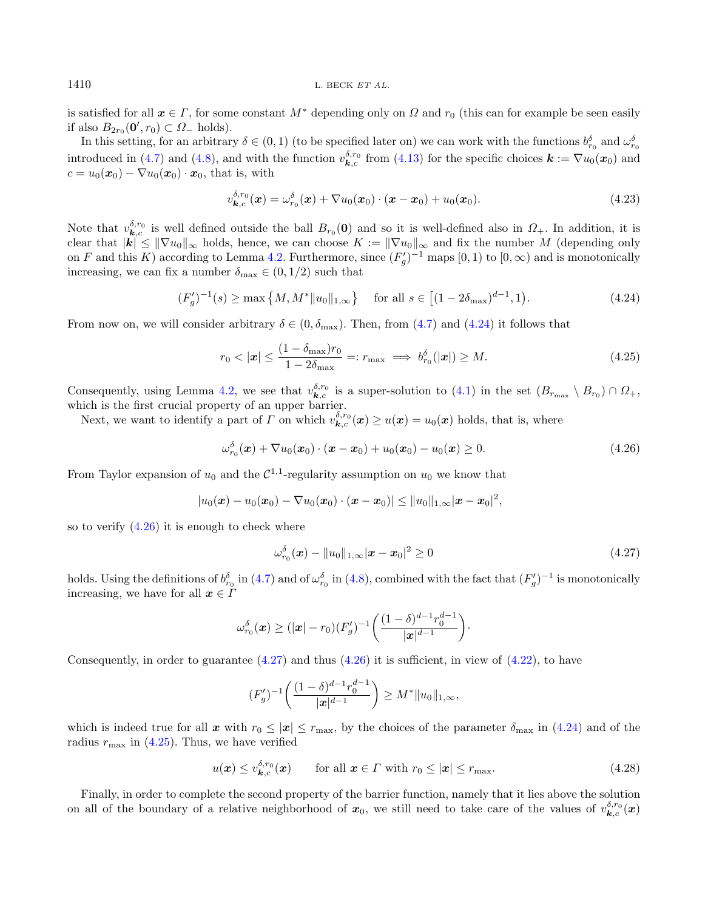is satisfied for all  $x \in \Gamma$ , for some constant  $M^*$  depending only on  $\Omega$  and  $r_0$  (this can for example be seen easily if also  $B_{2r_0}(\mathbf{0}', r_0) \subset \Omega$ <sub>-</sub> holds).

In this setting, for an arbitrary  $\delta \in (0,1)$  (to be specified later on) we can work with the functions  $b_{r_0}^{\delta}$  and  $\omega_{r_0}^{\delta}$ introduced in [\(4.7\)](#page-10-4) and [\(4.8\)](#page-10-1), and with the function  $v_{\mathbf{k},c}^{\delta,r_0}$  from [\(4.13\)](#page-11-1) for the specific choices  $\mathbf{k} := \nabla u_0(\mathbf{x}_0)$  and  $c = u_0(\mathbf{x}_0) - \nabla u_0(\mathbf{x}_0) \cdot \mathbf{x}_0$ , that is, with

<span id="page-15-5"></span><span id="page-15-3"></span><span id="page-15-1"></span><span id="page-15-0"></span>
$$
v_{\mathbf{k},c}^{\delta,r_0}(\mathbf{x}) = \omega_{r_0}^{\delta}(\mathbf{x}) + \nabla u_0(\mathbf{x}_0) \cdot (\mathbf{x} - \mathbf{x}_0) + u_0(\mathbf{x}_0). \tag{4.23}
$$

Note that  $v_{\bm{k},c}^{\delta,r_0}$  is well defined outside the ball  $B_{r_0}(0)$  and so it is well-defined also in  $\Omega_+$ . In addition, it is clear that  $|k| \leq ||\nabla u_0||_{\infty}$  holds, hence, we can choose  $K := ||\nabla u_0||_{\infty}$  and fix the number M (depending only on F and this K) according to Lemma [4.2.](#page-11-3) Furthermore, since  $(F'_g)^{-1}$  maps  $[0,1)$  to  $[0,\infty)$  and is monotonically increasing, we can fix a number  $\delta_{\text{max}} \in (0, 1/2)$  such that

$$
(F'_g)^{-1}(s) \ge \max\left\{M, M^* \|u_0\|_{1,\infty}\right\} \quad \text{for all } s \in \left[(1 - 2\delta_{\max})^{d-1}, 1\right). \tag{4.24}
$$

From now on, we will consider arbitrary  $\delta \in (0, \delta_{\text{max}})$ . Then, from [\(4.7\)](#page-10-4) and [\(4.24\)](#page-15-0) it follows that

<span id="page-15-2"></span>
$$
r_0 < |\mathbf{x}| \le \frac{(1 - \delta_{\text{max}})r_0}{1 - 2\delta_{\text{max}}} =: r_{\text{max}} \implies b_{r_0}^{\delta}(|\mathbf{x}|) \ge M. \tag{4.25}
$$

Consequently, using Lemma [4.2,](#page-11-3) we see that  $v_{\mathbf{k},c}^{\delta,r_0}$  is a super-solution to  $(4.1)$  in the set  $(B_{r_{\text{max}}} \setminus B_{r_0}) \cap \Omega_+$ , which is the first crucial property of an upper barrier.

Next, we want to identify a part of  $\Gamma$  on which  $v^{5,r_0}_{k,c}(x) \ge u(x) = u_0(x)$  holds, that is, where

$$
\omega_{r_0}^{\delta}(\boldsymbol{x}) + \nabla u_0(\boldsymbol{x}_0) \cdot (\boldsymbol{x} - \boldsymbol{x}_0) + u_0(\boldsymbol{x}_0) - u_0(\boldsymbol{x}) \ge 0.
$$
\n(4.26)

From Taylor expansion of  $u_0$  and the  $C^{1,1}$ -regularity assumption on  $u_0$  we know that

$$
|u_0(\bm{x})-u_0(\bm{x}_0)-\nabla u_0(\bm{x}_0)\cdot(\bm{x}-\bm{x}_0)|\leq ||u_0||_{1,\infty}|\bm{x}-\bm{x}_0|^2,
$$

so to verify [\(4.26\)](#page-15-1) it is enough to check where

<span id="page-15-4"></span>
$$
\omega_{r_0}^{\delta}(\boldsymbol{x}) - ||u_0||_{1,\infty} |\boldsymbol{x} - \boldsymbol{x}_0|^2 \ge 0 \tag{4.27}
$$

holds. Using the definitions of  $b_{r_0}^{\delta}$  in [\(4.7\)](#page-10-4) and of  $\omega_{r_0}^{\delta}$  in [\(4.8\)](#page-10-1), combined with the fact that  $(F'_g)^{-1}$  is monotonically increasing, we have for all  $x \in I$ 

$$
\omega_{r_0}^{\delta}(\boldsymbol{x}) \geq (|\boldsymbol{x}| - r_0)(F_g')^{-1}\bigg(\frac{(1-\delta)^{d-1}r_0^{d-1}}{|\boldsymbol{x}|^{d-1}}\bigg).
$$

Consequently, in order to guarantee  $(4.27)$  and thus  $(4.26)$  it is sufficient, in view of  $(4.22)$ , to have

$$
(F'_g)^{-1}\left(\frac{(1-\delta)^{d-1}r_0^{d-1}}{|x|^{d-1}}\right) \ge M^*||u_0||_{1,\infty},
$$

which is indeed true for all x with  $r_0 \leq |x| \leq r_{\text{max}}$ , by the choices of the parameter  $\delta_{\text{max}}$  in [\(4.24\)](#page-15-0) and of the radius  $r_{\text{max}}$  in [\(4.25\)](#page-15-3). Thus, we have verified

$$
u(\boldsymbol{x}) \le v_{\boldsymbol{k},c}^{\delta,r_0}(\boldsymbol{x}) \qquad \text{for all } \boldsymbol{x} \in \Gamma \text{ with } r_0 \le |\boldsymbol{x}| \le r_{\text{max}}.
$$

Finally, in order to complete the second property of the barrier function, namely that it lies above the solution on all of the boundary of a relative neighborhood of  $x_0$ , we still need to take care of the values of  $v_{\bm{k},c}^{\delta,r_0}(\bm{x})$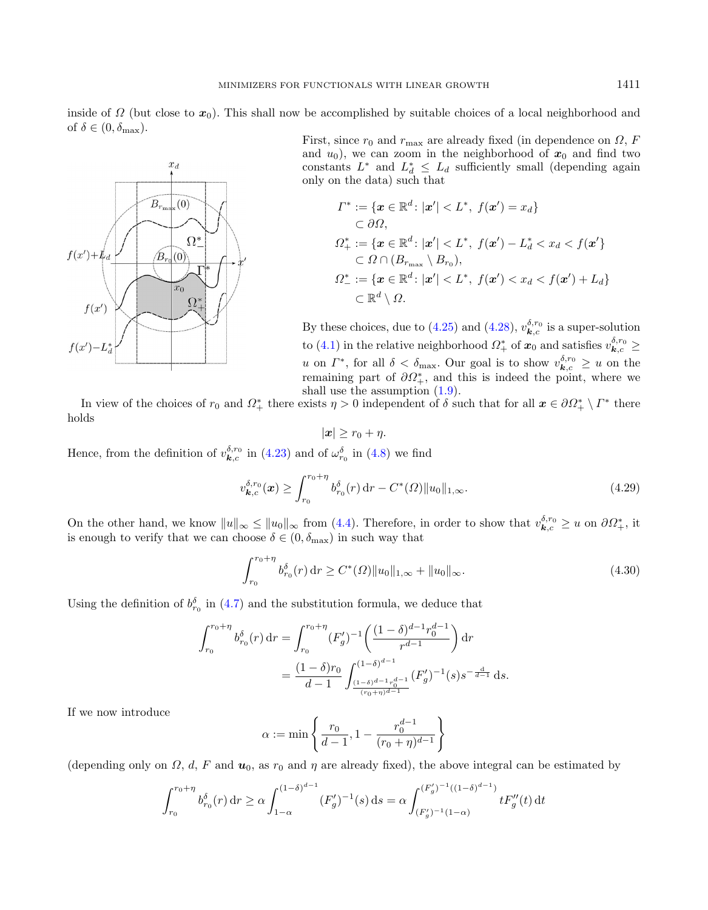inside of  $\Omega$  (but close to  $x_0$ ). This shall now be accomplished by suitable choices of a local neighborhood and of  $\delta \in (0, \delta_{\max})$ .



First, since  $r_0$  and  $r_{\text{max}}$  are already fixed (in dependence on  $\Omega$ , F and  $u_0$ ), we can zoom in the neighborhood of  $x_0$  and find two constants  $L^*$  and  $L_d^* \leq L_d$  sufficiently small (depending again only on the data) such that

$$
\begin{aligned}\n\varGamma^* &:= \{ \mathbf{x} \in \mathbb{R}^d \colon |\mathbf{x}'| < L^*, \ f(\mathbf{x}') = x_d \} \\
&\subset \partial \Omega, \\
\Omega_+^* &:= \{ \mathbf{x} \in \mathbb{R}^d \colon |\mathbf{x}'| < L^*, \ f(\mathbf{x}') - L_d^* < x_d < f(\mathbf{x}' \} \\
&\subset \Omega \cap (B_{r_{\text{max}}} \setminus B_{r_0}), \\
\Omega_-^* &:= \{ \mathbf{x} \in \mathbb{R}^d \colon |\mathbf{x}'| < L^*, \ f(\mathbf{x}') < x_d < f(\mathbf{x}') + L_d \} \\
&\subset \mathbb{R}^d \setminus \Omega.\n\end{aligned}
$$

By these choices, due to [\(4.25\)](#page-15-3) and [\(4.28\)](#page-15-4),  $v_{\mathbf{k},c}^{\delta,r_0}$  is a super-solution to [\(4.1\)](#page-8-1) in the relative neighborhood  $\varOmega^*_+$  of  $\bm{x}_0$  and satisfies  $v_{\bm{k},c}^{\delta,r_0} \geq$ u on  $\Gamma^*$ , for all  $\delta < \delta_{\max}$ . Our goal is to show  $v_{\mathbf{k},c}^{\delta,r_0} \geq u$  on the remaining part of  $\partial \Omega_{+}^{*}$ , and this is indeed the point, where we shall use the assumption [\(1.9\)](#page-3-1).

In view of the choices of  $r_0$  and  $\Omega^*_+$  there exists  $\eta > 0$  independent of  $\delta$  such that for all  $x \in \partial \Omega^*_+ \setminus \Gamma^*$  there holds

<span id="page-16-0"></span>
$$
|\boldsymbol{x}| \geq r_0 + \eta.
$$

Hence, from the definition of  $v_{\mathbf{k},c}^{\delta,r_0}$  in [\(4.23\)](#page-15-5) and of  $\omega_{r_0}^{\delta}$  in [\(4.8\)](#page-10-1) we find

$$
v_{\boldsymbol{k},c}^{\delta,r_0}(\boldsymbol{x}) \ge \int_{r_0}^{r_0+\eta} b_{r_0}^{\delta}(r) \, dr - C^*(\Omega) \|u_0\|_{1,\infty}.
$$
 (4.29)

On the other hand, we know  $||u||_{\infty} \le ||u_0||_{\infty}$  from [\(4.4\)](#page-9-1). Therefore, in order to show that  $v_{\mathbf{k},c}^{\delta,r_0} \ge u$  on  $\partial\Omega_{+}^{*}$ , it is enough to verify that we can choose  $\delta \in (0, \delta_{\max})$  in such way that

$$
\int_{r_0}^{r_0+\eta} b_{r_0}^{\delta}(r) dr \ge C^*(\Omega) \|u_0\|_{1,\infty} + \|u_0\|_{\infty}.
$$
 (4.30)

Using the definition of  $b_{r_0}^{\delta}$  in [\(4.7\)](#page-10-4) and the substitution formula, we deduce that

$$
\int_{r_0}^{r_0+\eta} b_{r_0}^{\delta}(r) dr = \int_{r_0}^{r_0+\eta} (F'_g)^{-1} \left( \frac{(1-\delta)^{d-1} r_0^{d-1}}{r^{d-1}} \right) dr
$$
  
= 
$$
\frac{(1-\delta)r_0}{d-1} \int_{\frac{(1-\delta)^{d-1} r_0^{d-1}}{(r_0+\eta)^{d-1}}}^{(1-\delta)^{d-1} (1-\delta)^{d-1} r_0^{d-1}} (F'_g)^{-1} (s) s^{-\frac{d}{d-1}} ds.
$$

If we now introduce

$$
\alpha := \min \left\{ \frac{r_0}{d-1}, 1 - \frac{r_0^{d-1}}{(r_0 + \eta)^{d-1}} \right\}
$$

(depending only on  $\Omega$ , d, F and  $u_0$ , as  $r_0$  and  $\eta$  are already fixed), the above integral can be estimated by

$$
\int_{r_0}^{r_0+\eta} b_{r_0}^{\delta}(r) dr \ge \alpha \int_{1-\alpha}^{(1-\delta)^{d-1}} (F'_g)^{-1}(s) ds = \alpha \int_{(F'_g)^{-1}(1-\alpha)}^{(F'_g)^{-1}((1-\delta)^{d-1})} t F''_g(t) dt
$$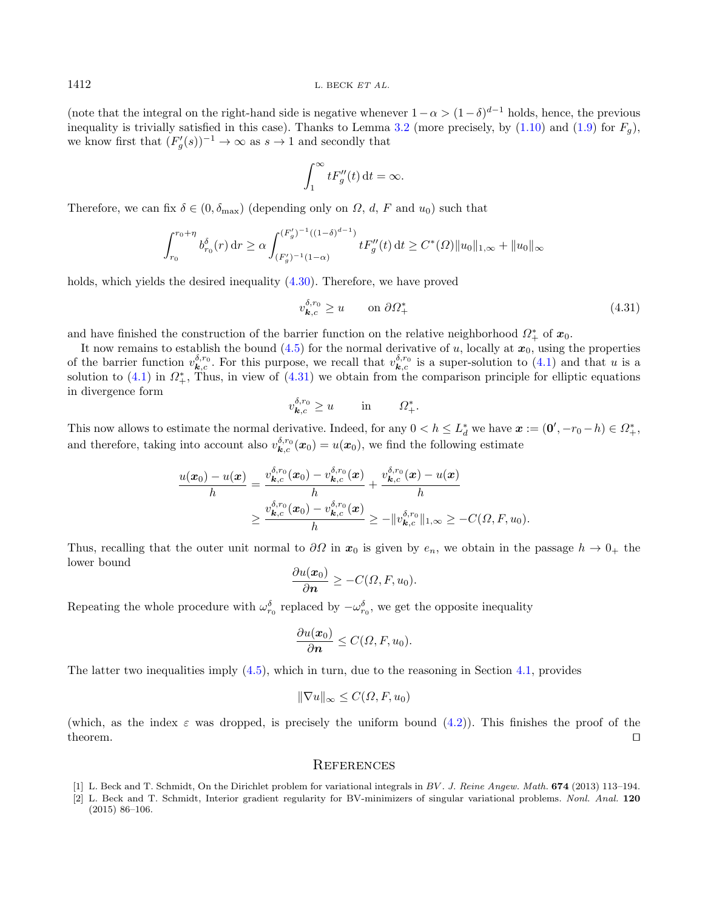(note that the integral on the right-hand side is negative whenever  $1 - \alpha > (1 - \delta)^{d-1}$  holds, hence, the previous inequality is trivially satisfied in this case). Thanks to Lemma [3.2](#page-7-2) (more precisely, by  $(1.10)$  and  $(1.9)$  for  $F_q$ ), we know first that  $(F'_g(s))^{-1} \to \infty$  as  $s \to 1$  and secondly that

<span id="page-17-2"></span>
$$
\int_1^\infty t F_g''(t) \, \mathrm{d}t = \infty.
$$

Therefore, we can fix  $\delta \in (0, \delta_{\text{max}})$  (depending only on  $\Omega$ , d, F and  $u_0$ ) such that

$$
\int_{r_0}^{r_0+\eta} b_{r_0}^{\delta}(r) dr \ge \alpha \int_{(F'_g)^{-1}(1-\alpha)}^{(F'_g)^{-1}((1-\delta)^{d-1})} t F''_g(t) dt \ge C^*(\Omega) \|u_0\|_{1,\infty} + \|u_0\|_{\infty}
$$

holds, which yields the desired inequality  $(4.30)$ . Therefore, we have proved

$$
v_{\mathbf{k},c}^{\delta,r_0} \ge u \qquad \text{on } \partial \Omega_+^* \tag{4.31}
$$

and have finished the construction of the barrier function on the relative neighborhood  $\Omega^*_{+}$  of  $x_0$ .

It now remains to establish the bound  $(4.5)$  for the normal derivative of u, locally at  $x_0$ , using the properties of the barrier function  $v_{\mathbf{k},c}^{\delta,r_0}$ . For this purpose, we recall that  $v_{\mathbf{k},c}^{\delta,r_0}$  is a super-solution to [\(4.1\)](#page-8-1) and that u is a solution to  $(4.1)$  in  $\Omega^*_+$ , Thus, in view of  $(4.31)$  we obtain from the comparison principle for elliptic equations in divergence form

$$
v^{\delta,r_0}_{\mathbf{k},c} \ge u \qquad \text{in} \qquad \Omega^*_+.
$$

This now allows to estimate the normal derivative. Indeed, for any  $0 < h \leq L_d^*$  we have  $\boldsymbol{x} := (\boldsymbol{0}', -r_0 - h) \in \Omega^*_+$ . and therefore, taking into account also  $v_{\bm{k},c}^{\delta,r_0}(\bm{x}_0) = u(\bm{x}_0)$ , we find the following estimate

$$
\frac{u(\boldsymbol{x}_0)-u(\boldsymbol{x})}{h} = \frac{v_{\boldsymbol{k},c}^{\delta,r_0}(\boldsymbol{x}_0)-v_{\boldsymbol{k},c}^{\delta,r_0}(\boldsymbol{x})}{h} + \frac{v_{\boldsymbol{k},c}^{\delta,r_0}(\boldsymbol{x})-u(\boldsymbol{x})}{h}
$$

$$
\geq \frac{v_{\boldsymbol{k},c}^{\delta,r_0}(\boldsymbol{x}_0)-v_{\boldsymbol{k},c}^{\delta,r_0}(\boldsymbol{x})}{h} \geq -\|v_{\boldsymbol{k},c}^{\delta,r_0}\|_{1,\infty} \geq -C(\Omega,F,u_0).
$$

Thus, recalling that the outer unit normal to  $\partial\Omega$  in  $x_0$  is given by  $e_n$ , we obtain in the passage  $h \to 0_+$  the lower bound

$$
\frac{\partial u(\boldsymbol{x}_0)}{\partial \boldsymbol{n}} \geq -C(\Omega, F, u_0).
$$

<span id="page-17-1"></span><span id="page-17-0"></span>Repeating the whole procedure with  $\omega_{r_0}^{\delta}$  replaced by  $-\omega_{r_0}^{\delta}$ , we get the opposite inequality

$$
\frac{\partial u(\boldsymbol{x}_0)}{\partial \boldsymbol{n}} \leq C(\Omega, F, u_0).
$$

The latter two inequalities imply  $(4.5)$ , which in turn, due to the reasoning in Section [4.1,](#page-9-2) provides

$$
\|\nabla u\|_{\infty} \le C(\Omega, F, u_0)
$$

(which, as the index  $\varepsilon$  was dropped, is precisely the uniform bound [\(4.2\)](#page-9-0)). This finishes the proof of the theorem.  $\square$ 

## **REFERENCES**

- [1] L. Beck and T. Schmidt, On the Dirichlet problem for variational integrals in BV . J. Reine Angew. Math. 674 (2013) 113–194.
- [2] L. Beck and T. Schmidt, Interior gradient regularity for BV-minimizers of singular variational problems. Nonl. Anal. 120 (2015) 86–106.